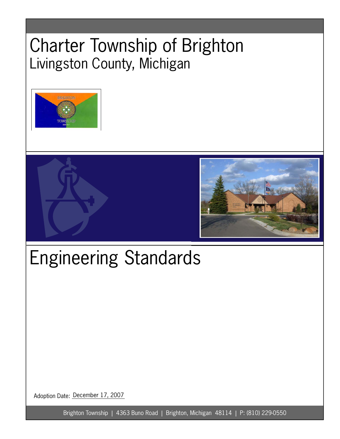# Charter Township of Brighton Livingston County, Michigan





# Engineering Standards

Adoption Date: December 17, 2007

Brighton Township | 4363 Buno Road | Brighton, Michigan 48114 | P: (810) 229-0550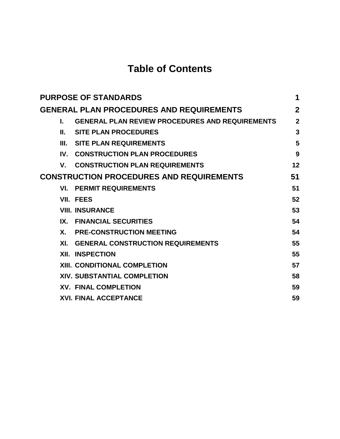## **Table of Contents**

| <b>PURPOSE OF STANDARDS</b>                     |                                                        |                |  |  |
|-------------------------------------------------|--------------------------------------------------------|----------------|--|--|
| <b>GENERAL PLAN PROCEDURES AND REQUIREMENTS</b> |                                                        |                |  |  |
| L.                                              | <b>GENERAL PLAN REVIEW PROCEDURES AND REQUIREMENTS</b> | $\overline{2}$ |  |  |
| Ш.                                              | <b>SITE PLAN PROCEDURES</b>                            | 3              |  |  |
| III.                                            | <b>SITE PLAN REQUIREMENTS</b>                          | 5              |  |  |
| $\mathbf{I} \mathbf{V}$ .                       | <b>CONSTRUCTION PLAN PROCEDURES</b>                    | 9              |  |  |
| V.                                              | <b>CONSTRUCTION PLAN REQUIREMENTS</b>                  | 12             |  |  |
| <b>CONSTRUCTION PROCEDURES AND REQUIREMENTS</b> |                                                        |                |  |  |
|                                                 | <b>VI. PERMIT REQUIREMENTS</b>                         | 51             |  |  |
|                                                 | VII. FEES                                              | 52             |  |  |
|                                                 | <b>VIII. INSURANCE</b>                                 | 53             |  |  |
|                                                 | IX. FINANCIAL SECURITIES                               | 54             |  |  |
| <b>X</b> .                                      | <b>PRE-CONSTRUCTION MEETING</b>                        | 54             |  |  |
| XI.                                             | <b>GENERAL CONSTRUCTION REQUIREMENTS</b>               | 55             |  |  |
|                                                 | <b>XII. INSPECTION</b>                                 | 55             |  |  |
|                                                 | <b>XIII. CONDITIONAL COMPLETION</b>                    | 57             |  |  |
|                                                 | XIV. SUBSTANTIAL COMPLETION                            | 58             |  |  |
|                                                 | <b>XV. FINAL COMPLETION</b>                            | 59             |  |  |
|                                                 | <b>XVI. FINAL ACCEPTANCE</b>                           | 59             |  |  |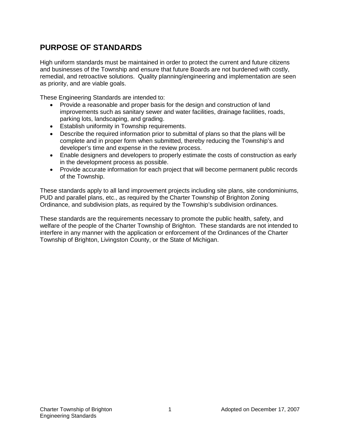### <span id="page-2-0"></span>**PURPOSE OF STANDARDS**

High uniform standards must be maintained in order to protect the current and future citizens and businesses of the Township and ensure that future Boards are not burdened with costly, remedial, and retroactive solutions. Quality planning/engineering and implementation are seen as priority, and are viable goals.

These Engineering Standards are intended to:

- Provide a reasonable and proper basis for the design and construction of land improvements such as sanitary sewer and water facilities, drainage facilities, roads, parking lots, landscaping, and grading.
- Establish uniformity in Township requirements.
- Describe the required information prior to submittal of plans so that the plans will be complete and in proper form when submitted, thereby reducing the Township's and developer's time and expense in the review process.
- Enable designers and developers to properly estimate the costs of construction as early in the development process as possible.
- Provide accurate information for each project that will become permanent public records of the Township.

These standards apply to all land improvement projects including site plans, site condominiums, PUD and parallel plans, etc., as required by the Charter Township of Brighton Zoning Ordinance, and subdivision plats, as required by the Township's subdivision ordinances.

These standards are the requirements necessary to promote the public health, safety, and welfare of the people of the Charter Township of Brighton. These standards are not intended to interfere in any manner with the application or enforcement of the Ordinances of the Charter Township of Brighton, Livingston County, or the State of Michigan.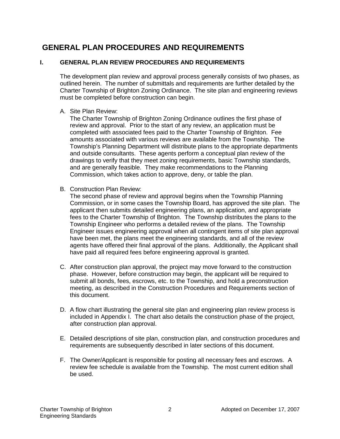### <span id="page-3-0"></span>**GENERAL PLAN PROCEDURES AND REQUIREMENTS**

#### <span id="page-3-1"></span>**I. GENERAL PLAN REVIEW PROCEDURES AND REQUIREMENTS**

The development plan review and approval process generally consists of two phases, as outlined herein. The number of submittals and requirements are further detailed by the Charter Township of Brighton Zoning Ordinance. The site plan and engineering reviews must be completed before construction can begin.

A. Site Plan Review:

The Charter Township of Brighton Zoning Ordinance outlines the first phase of review and approval. Prior to the start of any review, an application must be completed with associated fees paid to the Charter Township of Brighton. Fee amounts associated with various reviews are available from the Township. The Township's Planning Department will distribute plans to the appropriate departments and outside consultants. These agents perform a conceptual plan review of the drawings to verify that they meet zoning requirements, basic Township standards, and are generally feasible. They make recommendations to the Planning Commission, which takes action to approve, deny, or table the plan.

B. Construction Plan Review:

The second phase of review and approval begins when the Township Planning Commission, or in some cases the Township Board, has approved the site plan. The applicant then submits detailed engineering plans, an application, and appropriate fees to the Charter Township of Brighton. The Township distributes the plans to the Township Engineer who performs a detailed review of the plans. The Township Engineer issues engineering approval when all contingent items of site plan approval have been met, the plans meet the engineering standards, and all of the review agents have offered their final approval of the plans. Additionally, the Applicant shall have paid all required fees before engineering approval is granted.

- C. After construction plan approval, the project may move forward to the construction phase. However, before construction may begin, the applicant will be required to submit all bonds, fees, escrows, etc. to the Township, and hold a preconstruction meeting, as described in the Construction Procedures and Requirements section of this document.
- D. A flow chart illustrating the general site plan and engineering plan review process is included in Appendix I. The chart also details the construction phase of the project, after construction plan approval.
- E. Detailed descriptions of site plan, construction plan, and construction procedures and requirements are subsequently described in later sections of this document.
- F. The Owner/Applicant is responsible for posting all necessary fees and escrows. A review fee schedule is available from the Township. The most current edition shall be used.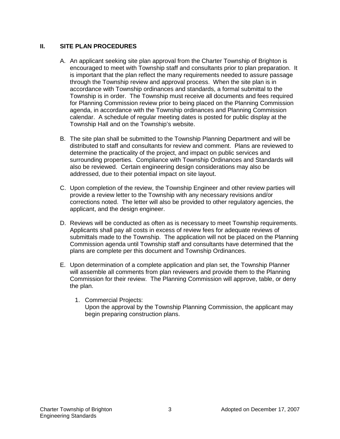#### <span id="page-4-0"></span>**II. SITE PLAN PROCEDURES**

- A. An applicant seeking site plan approval from the Charter Township of Brighton is encouraged to meet with Township staff and consultants prior to plan preparation. It is important that the plan reflect the many requirements needed to assure passage through the Township review and approval process. When the site plan is in accordance with Township ordinances and standards, a formal submittal to the Township is in order. The Township must receive all documents and fees required for Planning Commission review prior to being placed on the Planning Commission agenda, in accordance with the Township ordinances and Planning Commission calendar. A schedule of regular meeting dates is posted for public display at the Township Hall and on the Township's website.
- B. The site plan shall be submitted to the Township Planning Department and will be distributed to staff and consultants for review and comment. Plans are reviewed to determine the practicality of the project, and impact on public services and surrounding properties. Compliance with Township Ordinances and Standards will also be reviewed. Certain engineering design considerations may also be addressed, due to their potential impact on site layout.
- C. Upon completion of the review, the Township Engineer and other review parties will provide a review letter to the Township with any necessary revisions and/or corrections noted. The letter will also be provided to other regulatory agencies, the applicant, and the design engineer.
- D. Reviews will be conducted as often as is necessary to meet Township requirements. Applicants shall pay all costs in excess of review fees for adequate reviews of submittals made to the Township. The application will not be placed on the Planning Commission agenda until Township staff and consultants have determined that the plans are complete per this document and Township Ordinances.
- E. Upon determination of a complete application and plan set, the Township Planner will assemble all comments from plan reviewers and provide them to the Planning Commission for their review. The Planning Commission will approve, table, or deny the plan.
	- 1. Commercial Projects: Upon the approval by the Township Planning Commission, the applicant may begin preparing construction plans.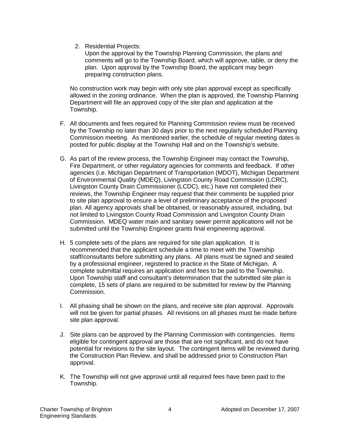2. Residential Projects:

Upon the approval by the Township Planning Commission, the plans and comments will go to the Township Board, which will approve, table, or deny the plan. Upon approval by the Township Board, the applicant may begin preparing construction plans.

No construction work may begin with only site plan approval except as specifically allowed in the zoning ordinance. When the plan is approved, the Township Planning Department will file an approved copy of the site plan and application at the Township.

- F. All documents and fees required for Planning Commission review must be received by the Township no later than 30 days prior to the next regularly scheduled Planning Commission meeting. As mentioned earlier, the schedule of regular meeting dates is posted for public display at the Township Hall and on the Township's website.
- G. As part of the review process, the Township Engineer may contact the Township, Fire Department, or other regulatory agencies for comments and feedback. If other agencies (i.e. Michigan Department of Transportation (MDOT), Michigan Department of Environmental Quality (MDEQ), Livingston County Road Commission (LCRC), Livingston County Drain Commissioner (LCDC), etc.) have not completed their reviews, the Township Engineer may request that their comments be supplied prior to site plan approval to ensure a level of preliminary acceptance of the proposed plan. All agency approvals shall be obtained, or reasonably assured, including, but not limited to Livingston County Road Commission and Livingston County Drain Commission. MDEQ water main and sanitary sewer permit applications will not be submitted until the Township Engineer grants final engineering approval.
- H. 5 complete sets of the plans are required for site plan application. It is recommended that the applicant schedule a time to meet with the Township staff/consultants before submitting any plans. All plans must be signed and sealed by a professional engineer, registered to practice in the State of Michigan. A complete submittal requires an application and fees to be paid to the Township. Upon Township staff and consultant's determination that the submitted site plan is complete, 15 sets of plans are required to be submitted for review by the Planning Commission.
- I. All phasing shall be shown on the plans, and receive site plan approval. Approvals will not be given for partial phases. All revisions on all phases must be made before site plan approval.
- J. Site plans can be approved by the Planning Commission with contingencies. Items eligible for contingent approval are those that are not significant, and do not have potential for revisions to the site layout. The contingent items will be reviewed during the Construction Plan Review, and shall be addressed prior to Construction Plan approval.
- K. The Township will not give approval until all required fees have been paid to the Township.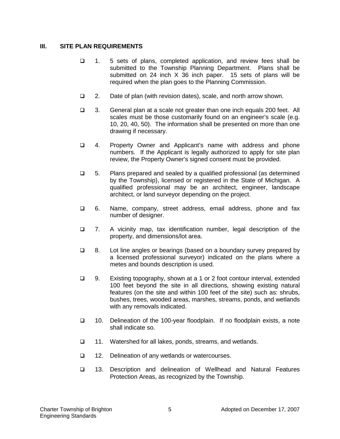#### <span id="page-6-0"></span>**III. SITE PLAN REQUIREMENTS**

- 1. 5 sets of plans, completed application, and review fees shall be submitted to the Township Planning Department. Plans shall be submitted on 24 inch X 36 inch paper. 15 sets of plans will be required when the plan goes to the Planning Commission.
- □ 2. Date of plan (with revision dates), scale, and north arrow shown.
- 3. General plan at a scale not greater than one inch equals 200 feet. All scales must be those customarily found on an engineer's scale (e.g. 10, 20, 40, 50). The information shall be presented on more than one drawing if necessary.
- 4. Property Owner and Applicant's name with address and phone numbers. If the Applicant is legally authorized to apply for site plan review, the Property Owner's signed consent must be provided.
- $\Box$  5. Plans prepared and sealed by a qualified professional (as determined by the Township), licensed or registered in the State of Michigan. A qualified professional may be an architect, engineer, landscape architect, or land surveyor depending on the project.
- 6. Name, company, street address, email address, phone and fax number of designer.
- 7. A vicinity map, tax identification number, legal description of the property, and dimensions/lot area.
- 8. Lot line angles or bearings (based on a boundary survey prepared by a licensed professional surveyor) indicated on the plans where a metes and bounds description is used.
- 9. Existing topography, shown at a 1 or 2 foot contour interval, extended 100 feet beyond the site in all directions, showing existing natural features (on the site and within 100 feet of the site) such as: shrubs, bushes, trees, wooded areas, marshes, streams, ponds, and wetlands with any removals indicated.
- 10. Delineation of the 100-year floodplain. If no floodplain exists, a note shall indicate so.
- □ 11. Watershed for all lakes, ponds, streams, and wetlands.
- $\Box$  12. Delineation of any wetlands or watercourses.
- 13. Description and delineation of Wellhead and Natural Features Protection Areas, as recognized by the Township.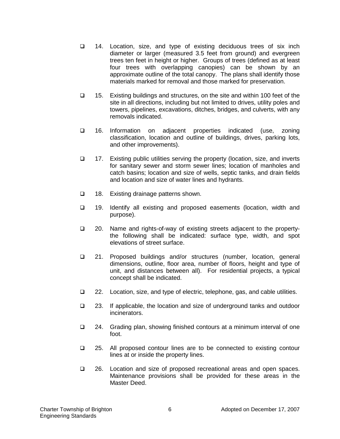- 14. Location, size, and type of existing deciduous trees of six inch diameter or larger (measured 3.5 feet from ground) and evergreen trees ten feet in height or higher. Groups of trees (defined as at least four trees with overlapping canopies) can be shown by an approximate outline of the total canopy. The plans shall identify those materials marked for removal and those marked for preservation.
- 15. Existing buildings and structures, on the site and within 100 feet of the site in all directions, including but not limited to drives, utility poles and towers, pipelines, excavations, ditches, bridges, and culverts, with any removals indicated.
- 16. Information on adjacent properties indicated (use, zoning classification, location and outline of buildings, drives, parking lots, and other improvements).
- 17. Existing public utilities serving the property (location, size, and inverts for sanitary sewer and storm sewer lines; location of manholes and catch basins; location and size of wells, septic tanks, and drain fields and location and size of water lines and hydrants.
- $\Box$  18. Existing drainage patterns shown.
- 19. Identify all existing and proposed easements (location, width and purpose).
- □ 20. Name and rights-of-way of existing streets adjacent to the propertythe following shall be indicated: surface type, width, and spot elevations of street surface.
- 21. Proposed buildings and/or structures (number, location, general dimensions, outline, floor area, number of floors, height and type of unit, and distances between all). For residential projects, a typical concept shall be indicated.
- $\Box$  22. Location, size, and type of electric, telephone, gas, and cable utilities.
- 23. If applicable, the location and size of underground tanks and outdoor incinerators.
- 24. Grading plan, showing finished contours at a minimum interval of one foot.
- 25. All proposed contour lines are to be connected to existing contour lines at or inside the property lines.
- 26. Location and size of proposed recreational areas and open spaces. Maintenance provisions shall be provided for these areas in the Master Deed.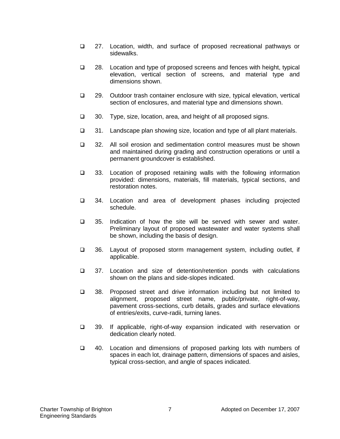- 27. Location, width, and surface of proposed recreational pathways or sidewalks.
- 28. Location and type of proposed screens and fences with height, typical elevation, vertical section of screens, and material type and dimensions shown.
- 29. Outdoor trash container enclosure with size, typical elevation, vertical section of enclosures, and material type and dimensions shown.
- **30.** Type, size, location, area, and height of all proposed signs.
- 31. Landscape plan showing size, location and type of all plant materials.
- 32. All soil erosion and sedimentation control measures must be shown and maintained during grading and construction operations or until a permanent groundcover is established.
- 33. Location of proposed retaining walls with the following information provided: dimensions, materials, fill materials, typical sections, and restoration notes.
- □ 34. Location and area of development phases including projected schedule.
- □ 35. Indication of how the site will be served with sewer and water. Preliminary layout of proposed wastewater and water systems shall be shown, including the basis of design.
- □ 36. Layout of proposed storm management system, including outlet, if applicable.
- 37. Location and size of detention/retention ponds with calculations shown on the plans and side-slopes indicated.
- □ 38. Proposed street and drive information including but not limited to alignment, proposed street name, public/private, right-of-way, pavement cross-sections, curb details, grades and surface elevations of entries/exits, curve-radii, turning lanes.
- 39. If applicable, right-of-way expansion indicated with reservation or dedication clearly noted.
- $\Box$  40. Location and dimensions of proposed parking lots with numbers of spaces in each lot, drainage pattern, dimensions of spaces and aisles, typical cross-section, and angle of spaces indicated.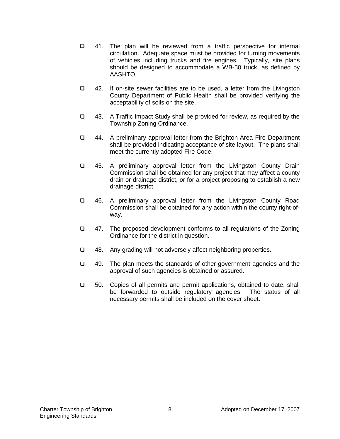- 41. The plan will be reviewed from a traffic perspective for internal circulation. Adequate space must be provided for turning movements of vehicles including trucks and fire engines. Typically, site plans should be designed to accommodate a WB-50 truck, as defined by AASHTO.
- □ 42. If on-site sewer facilities are to be used, a letter from the Livingston County Department of Public Health shall be provided verifying the acceptability of soils on the site.
- 43. A Traffic Impact Study shall be provided for review, as required by the Township Zoning Ordinance.
- 44. A preliminary approval letter from the Brighton Area Fire Department shall be provided indicating acceptance of site layout. The plans shall meet the currently adopted Fire Code.
- 45. A preliminary approval letter from the Livingston County Drain Commission shall be obtained for any project that may affect a county drain or drainage district, or for a project proposing to establish a new drainage district.
- □ 46. A preliminary approval letter from the Livingston County Road Commission shall be obtained for any action within the county right-ofway.
- □ 47. The proposed development conforms to all regulations of the Zoning Ordinance for the district in question.
- $\Box$  48. Any grading will not adversely affect neighboring properties.
- $\Box$  49. The plan meets the standards of other government agencies and the approval of such agencies is obtained or assured.
- 50. Copies of all permits and permit applications, obtained to date, shall be forwarded to outside regulatory agencies. The status of all necessary permits shall be included on the cover sheet.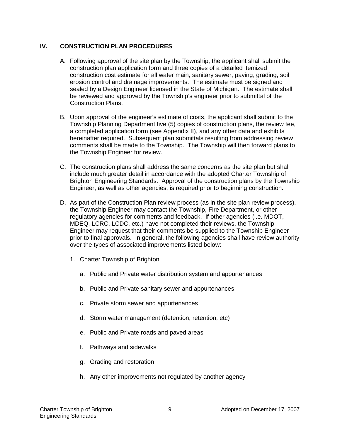#### <span id="page-10-0"></span>**IV. CONSTRUCTION PLAN PROCEDURES**

- A. Following approval of the site plan by the Township, the applicant shall submit the construction plan application form and three copies of a detailed itemized construction cost estimate for all water main, sanitary sewer, paving, grading, soil erosion control and drainage improvements. The estimate must be signed and sealed by a Design Engineer licensed in the State of Michigan. The estimate shall be reviewed and approved by the Township's engineer prior to submittal of the Construction Plans.
- B. Upon approval of the engineer's estimate of costs, the applicant shall submit to the Township Planning Department five (5) copies of construction plans, the review fee, a completed application form (see Appendix II), and any other data and exhibits hereinafter required. Subsequent plan submittals resulting from addressing review comments shall be made to the Township. The Township will then forward plans to the Township Engineer for review.
- C. The construction plans shall address the same concerns as the site plan but shall include much greater detail in accordance with the adopted Charter Township of Brighton Engineering Standards. Approval of the construction plans by the Township Engineer, as well as other agencies, is required prior to beginning construction.
- D. As part of the Construction Plan review process (as in the site plan review process), the Township Engineer may contact the Township, Fire Department, or other regulatory agencies for comments and feedback. If other agencies (i.e. MDOT, MDEQ, LCRC, LCDC, etc.) have not completed their reviews, the Township Engineer may request that their comments be supplied to the Township Engineer prior to final approvals. In general, the following agencies shall have review authority over the types of associated improvements listed below:
	- 1. Charter Township of Brighton
		- a. Public and Private water distribution system and appurtenances
		- b. Public and Private sanitary sewer and appurtenances
		- c. Private storm sewer and appurtenances
		- d. Storm water management (detention, retention, etc)
		- e. Public and Private roads and paved areas
		- f. Pathways and sidewalks
		- g. Grading and restoration
		- h. Any other improvements not regulated by another agency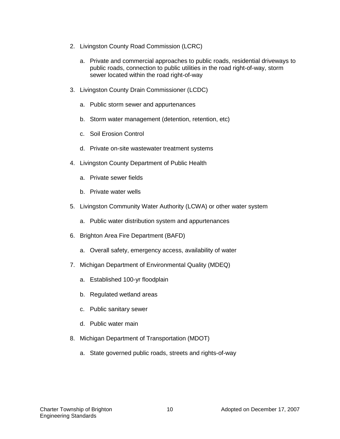- 2. Livingston County Road Commission (LCRC)
	- a. Private and commercial approaches to public roads, residential driveways to public roads, connection to public utilities in the road right-of-way, storm sewer located within the road right-of-way
- 3. Livingston County Drain Commissioner (LCDC)
	- a. Public storm sewer and appurtenances
	- b. Storm water management (detention, retention, etc)
	- c. Soil Erosion Control
	- d. Private on-site wastewater treatment systems
- 4. Livingston County Department of Public Health
	- a. Private sewer fields
	- b. Private water wells
- 5. Livingston Community Water Authority (LCWA) or other water system
	- a. Public water distribution system and appurtenances
- 6. Brighton Area Fire Department (BAFD)
	- a. Overall safety, emergency access, availability of water
- 7. Michigan Department of Environmental Quality (MDEQ)
	- a. Established 100-yr floodplain
	- b. Regulated wetland areas
	- c. Public sanitary sewer
	- d. Public water main
- 8. Michigan Department of Transportation (MDOT)
	- a. State governed public roads, streets and rights-of-way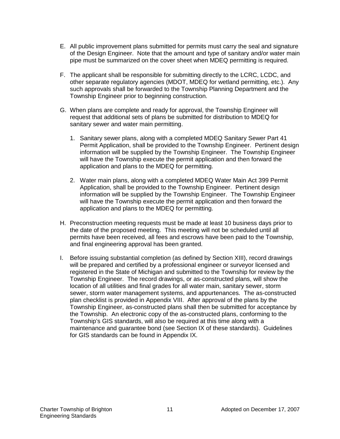- E. All public improvement plans submitted for permits must carry the seal and signature of the Design Engineer. Note that the amount and type of sanitary and/or water main pipe must be summarized on the cover sheet when MDEQ permitting is required.
- F. The applicant shall be responsible for submitting directly to the LCRC, LCDC, and other separate regulatory agencies (MDOT, MDEQ for wetland permitting, etc.). Any such approvals shall be forwarded to the Township Planning Department and the Township Engineer prior to beginning construction.
- G. When plans are complete and ready for approval, the Township Engineer will request that additional sets of plans be submitted for distribution to MDEQ for sanitary sewer and water main permitting.
	- 1. Sanitary sewer plans, along with a completed MDEQ Sanitary Sewer Part 41 Permit Application, shall be provided to the Township Engineer. Pertinent design information will be supplied by the Township Engineer. The Township Engineer will have the Township execute the permit application and then forward the application and plans to the MDEQ for permitting.
	- 2. Water main plans, along with a completed MDEQ Water Main Act 399 Permit Application, shall be provided to the Township Engineer. Pertinent design information will be supplied by the Township Engineer. The Township Engineer will have the Township execute the permit application and then forward the application and plans to the MDEQ for permitting.
- H. Preconstruction meeting requests must be made at least 10 business days prior to the date of the proposed meeting. This meeting will not be scheduled until all permits have been received, all fees and escrows have been paid to the Township, and final engineering approval has been granted.
- I. Before issuing substantial completion (as defined by Section XIII), record drawings will be prepared and certified by a professional engineer or surveyor licensed and registered in the State of Michigan and submitted to the Township for review by the Township Engineer. The record drawings, or as-constructed plans, will show the location of all utilities and final grades for all water main, sanitary sewer, storm sewer, storm water management systems, and appurtenances. The as-constructed plan checklist is provided in Appendix VIII. After approval of the plans by the Township Engineer, as-constructed plans shall then be submitted for acceptance by the Township. An electronic copy of the as-constructed plans, conforming to the Township's GIS standards, will also be required at this time along with a maintenance and guarantee bond (see Section IX of these standards). Guidelines for GIS standards can be found in Appendix IX.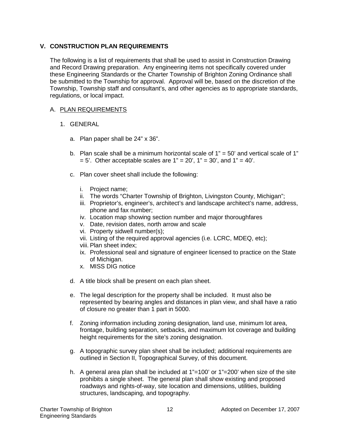#### <span id="page-13-0"></span>**V. CONSTRUCTION PLAN REQUIREMENTS**

The following is a list of requirements that shall be used to assist in Construction Drawing and Record Drawing preparation. Any engineering items not specifically covered under these Engineering Standards or the Charter Township of Brighton Zoning Ordinance shall be submitted to the Township for approval. Approval will be, based on the discretion of the Township, Township staff and consultant's, and other agencies as to appropriate standards, regulations, or local impact.

#### A. PLAN REQUIREMENTS

- 1. GENERAL
	- a. Plan paper shall be 24" x 36".
	- b. Plan scale shall be a minimum horizontal scale of  $1" = 50'$  and vertical scale of  $1"$  $= 5'$ . Other acceptable scales are  $1'' = 20'$ ,  $1'' = 30'$ , and  $1'' = 40'$ .
	- c. Plan cover sheet shall include the following:
		- i. Project name;
		- ii. The words "Charter Township of Brighton, Livingston County, Michigan";
		- iii. Proprietor's, engineer's, architect's and landscape architect's name, address, phone and fax number;
		- iv. Location map showing section number and major thoroughfares
		- v. Date, revision dates, north arrow and scale
		- vi. Property sidwell number(s);
		- vii. Listing of the required approval agencies (i.e. LCRC, MDEQ, etc);
		- viii. Plan sheet index;
		- ix. Professional seal and signature of engineer licensed to practice on the State of Michigan.
		- x. MISS DIG notice
	- d. A title block shall be present on each plan sheet.
	- e. The legal description for the property shall be included. It must also be represented by bearing angles and distances in plan view, and shall have a ratio of closure no greater than 1 part in 5000.
	- f. Zoning information including zoning designation, land use, minimum lot area, frontage, building separation, setbacks, and maximum lot coverage and building height requirements for the site's zoning designation.
	- g. A topographic survey plan sheet shall be included; additional requirements are outlined in Section II, Topographical Survey, of this document.
	- h. A general area plan shall be included at 1"=100' or 1"=200' when size of the site prohibits a single sheet. The general plan shall show existing and proposed roadways and rights-of-way, site location and dimensions, utilities, building structures, landscaping, and topography.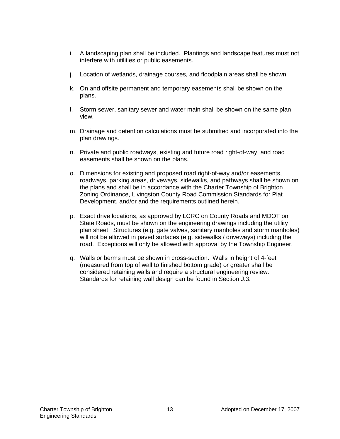- i. A landscaping plan shall be included. Plantings and landscape features must not interfere with utilities or public easements.
- j. Location of wetlands, drainage courses, and floodplain areas shall be shown.
- k. On and offsite permanent and temporary easements shall be shown on the plans.
- l. Storm sewer, sanitary sewer and water main shall be shown on the same plan view.
- m. Drainage and detention calculations must be submitted and incorporated into the plan drawings.
- n. Private and public roadways, existing and future road right-of-way, and road easements shall be shown on the plans.
- o. Dimensions for existing and proposed road right-of-way and/or easements, roadways, parking areas, driveways, sidewalks, and pathways shall be shown on the plans and shall be in accordance with the Charter Township of Brighton Zoning Ordinance, Livingston County Road Commission Standards for Plat Development, and/or and the requirements outlined herein.
- p. Exact drive locations, as approved by LCRC on County Roads and MDOT on State Roads, must be shown on the engineering drawings including the utility plan sheet. Structures (e.g. gate valves, sanitary manholes and storm manholes) will not be allowed in paved surfaces (e.g. sidewalks / driveways) including the road. Exceptions will only be allowed with approval by the Township Engineer.
- q. Walls or berms must be shown in cross-section. Walls in height of 4-feet (measured from top of wall to finished bottom grade) or greater shall be considered retaining walls and require a structural engineering review. Standards for retaining wall design can be found in Section J.3.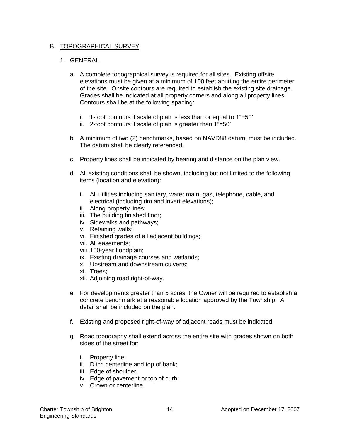#### B. TOPOGRAPHICAL SURVEY

- a. A complete topographical survey is required for all sites. Existing offsite elevations must be given at a minimum of 100 feet abutting the entire perimeter of the site. Onsite contours are required to establish the existing site drainage. Grades shall be indicated at all property corners and along all property lines. Contours shall be at the following spacing:
	- i. 1-foot contours if scale of plan is less than or equal to  $1"=50'$
	- ii. 2-foot contours if scale of plan is greater than 1"=50"
- b. A minimum of two (2) benchmarks, based on NAVD88 datum, must be included. The datum shall be clearly referenced.
- c. Property lines shall be indicated by bearing and distance on the plan view.
- d. All existing conditions shall be shown, including but not limited to the following items (location and elevation):
	- i. All utilities including sanitary, water main, gas, telephone, cable, and electrical (including rim and invert elevations);
	- ii. Along property lines;
	- iii. The building finished floor;
	- iv. Sidewalks and pathways;
	- v. Retaining walls;
	- vi. Finished grades of all adjacent buildings;
	- vii. All easements;
	- viii. 100-year floodplain;
	- ix. Existing drainage courses and wetlands;
	- x. Upstream and downstream culverts;
	- xi. Trees;
	- xii. Adjoining road right-of-way.
- e. For developments greater than 5 acres, the Owner will be required to establish a concrete benchmark at a reasonable location approved by the Township. A detail shall be included on the plan.
- f. Existing and proposed right-of-way of adjacent roads must be indicated.
- g. Road topography shall extend across the entire site with grades shown on both sides of the street for:
	- i. Property line;
	- ii. Ditch centerline and top of bank;
	- iii. Edge of shoulder;
	- iv. Edge of pavement or top of curb;
	- v. Crown or centerline.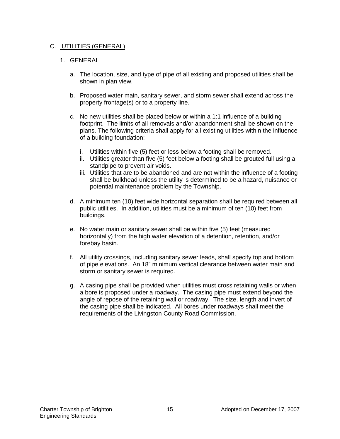#### C. UTILITIES (GENERAL)

- a. The location, size, and type of pipe of all existing and proposed utilities shall be shown in plan view.
- b. Proposed water main, sanitary sewer, and storm sewer shall extend across the property frontage(s) or to a property line.
- c. No new utilities shall be placed below or within a 1:1 influence of a building footprint. The limits of all removals and/or abandonment shall be shown on the plans. The following criteria shall apply for all existing utilities within the influence of a building foundation:
	- i. Utilities within five (5) feet or less below a footing shall be removed.
	- ii. Utilities greater than five (5) feet below a footing shall be grouted full using a standpipe to prevent air voids.
	- iii. Utilities that are to be abandoned and are not within the influence of a footing shall be bulkhead unless the utility is determined to be a hazard, nuisance or potential maintenance problem by the Township.
- d. A minimum ten (10) feet wide horizontal separation shall be required between all public utilities. In addition, utilities must be a minimum of ten (10) feet from buildings.
- e. No water main or sanitary sewer shall be within five (5) feet (measured horizontally) from the high water elevation of a detention, retention, and/or forebay basin.
- f. All utility crossings, including sanitary sewer leads, shall specify top and bottom of pipe elevations. An 18" minimum vertical clearance between water main and storm or sanitary sewer is required.
- g. A casing pipe shall be provided when utilities must cross retaining walls or when a bore is proposed under a roadway. The casing pipe must extend beyond the angle of repose of the retaining wall or roadway. The size, length and invert of the casing pipe shall be indicated. All bores under roadways shall meet the requirements of the Livingston County Road Commission.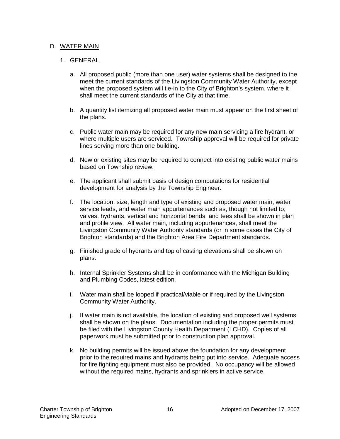#### D. WATER MAIN

- a. All proposed public (more than one user) water systems shall be designed to the meet the current standards of the Livingston Community Water Authority, except when the proposed system will tie-in to the City of Brighton's system, where it shall meet the current standards of the City at that time.
- b. A quantity list itemizing all proposed water main must appear on the first sheet of the plans.
- c. Public water main may be required for any new main servicing a fire hydrant, or where multiple users are serviced. Township approval will be required for private lines serving more than one building.
- d. New or existing sites may be required to connect into existing public water mains based on Township review.
- e. The applicant shall submit basis of design computations for residential development for analysis by the Township Engineer.
- f. The location, size, length and type of existing and proposed water main, water service leads, and water main appurtenances such as, though not limited to; valves, hydrants, vertical and horizontal bends, and tees shall be shown in plan and profile view. All water main, including appurtenances, shall meet the Livingston Community Water Authority standards (or in some cases the City of Brighton standards) and the Brighton Area Fire Department standards.
- g. Finished grade of hydrants and top of casting elevations shall be shown on plans.
- h. Internal Sprinkler Systems shall be in conformance with the Michigan Building and Plumbing Codes, latest edition.
- i. Water main shall be looped if practical/viable or if required by the Livingston Community Water Authority.
- j. If water main is not available, the location of existing and proposed well systems shall be shown on the plans. Documentation including the proper permits must be filed with the Livingston County Health Department (LCHD). Copies of all paperwork must be submitted prior to construction plan approval.
- k. No building permits will be issued above the foundation for any development prior to the required mains and hydrants being put into service. Adequate access for fire fighting equipment must also be provided. No occupancy will be allowed without the required mains, hydrants and sprinklers in active service.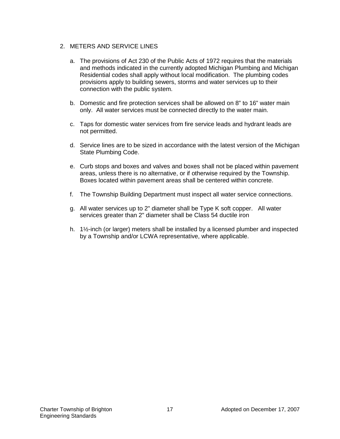#### 2. METERS AND SERVICE LINES

- a. The provisions of Act 230 of the Public Acts of 1972 requires that the materials and methods indicated in the currently adopted Michigan Plumbing and Michigan Residential codes shall apply without local modification. The plumbing codes provisions apply to building sewers, storms and water services up to their connection with the public system.
- b. Domestic and fire protection services shall be allowed on 8" to 16" water main only. All water services must be connected directly to the water main.
- c. Taps for domestic water services from fire service leads and hydrant leads are not permitted.
- d. Service lines are to be sized in accordance with the latest version of the Michigan State Plumbing Code.
- e. Curb stops and boxes and valves and boxes shall not be placed within pavement areas, unless there is no alternative, or if otherwise required by the Township. Boxes located within pavement areas shall be centered within concrete.
- f. The Township Building Department must inspect all water service connections.
- g. All water services up to 2" diameter shall be Type K soft copper. All water services greater than 2" diameter shall be Class 54 ductile iron
- h. 1½-inch (or larger) meters shall be installed by a licensed plumber and inspected by a Township and/or LCWA representative, where applicable.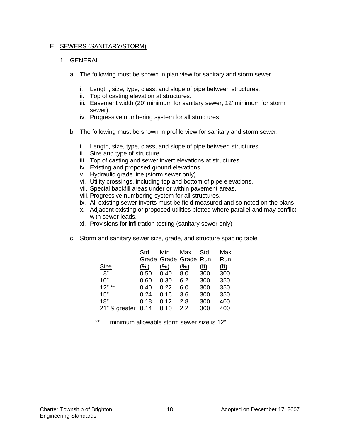#### E. SEWERS (SANITARY/STORM)

#### 1. GENERAL

- a. The following must be shown in plan view for sanitary and storm sewer.
	- i. Length, size, type, class, and slope of pipe between structures.
	- ii. Top of casting elevation at structures.
	- iii. Easement width (20' minimum for sanitary sewer, 12' minimum for storm sewer).
	- iv. Progressive numbering system for all structures.
- b. The following must be shown in profile view for sanitary and storm sewer:
	- i. Length, size, type, class, and slope of pipe between structures.
	- ii. Size and type of structure.
	- iii. Top of casting and sewer invert elevations at structures.
	- iv. Existing and proposed ground elevations.
	- v. Hydraulic grade line (storm sewer only).
	- vi. Utility crossings, including top and bottom of pipe elevations.
	- vii. Special backfill areas under or within pavement areas.
	- viii. Progressive numbering system for all structures.
	- ix. All existing sewer inverts must be field measured and so noted on the plans
	- x. Adjacent existing or proposed utilities plotted where parallel and may conflict with sewer leads.
	- xi. Provisions for infiltration testing (sanitary sewer only)
- c. Storm and sanitary sewer size, grade, and structure spacing table

|               | Std  | Min              | Max                   | Std         | Max         |
|---------------|------|------------------|-----------------------|-------------|-------------|
|               |      |                  | Grade Grade Grade Run |             | Run         |
| <b>Size</b>   | (% ) | $\frac{(96)}{6}$ | (% )                  | <u>(ft)</u> | <u>(ft)</u> |
| . ୱ"          | 0.50 | 0.40             | 8.0                   | 300         | 300         |
| 10"           | 0.60 | 0.30             | 6.2                   | 300         | 350         |
| $12"$ **      | 0.40 | 0.22             | 6.0                   | 300         | 350         |
| 15"           | 0.24 | 0.16             | 3.6                   | 300         | 350         |
| 18"           | 0.18 | 0.12             | 2.8                   | 300         | 400         |
| 21" & greater | 0.14 | 0.10             | 2.2                   | 300         | 400         |

\*\* minimum allowable storm sewer size is 12"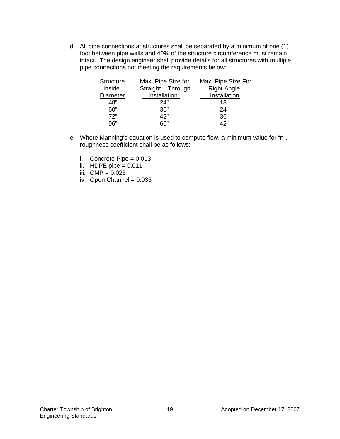d. All pipe connections at structures shall be separated by a minimum of one (1) foot between pipe walls and 40% of the structure circumference must remain intact. The design engineer shall provide details for all structures with multiple pipe connections not meeting the requirements below:

| <b>Structure</b> | Max. Pipe Size for | Max. Pipe Size For |
|------------------|--------------------|--------------------|
| Inside           | Straight - Through | <b>Right Angle</b> |
| <b>Diameter</b>  | Installation       | Installation       |
| 48"              | 24"                | 18"                |
| 60"              | 36"                | 24"                |
| 72"              | 42"                | 36"                |
| 96"              | ഭറ"                | "כ4                |

- e. Where Manning's equation is used to compute flow, a minimum value for "n", roughness coefficient shall be as follows:
	- i. Concrete Pipe =  $0.013$
	- ii. HDPE pipe  $= 0.011$
	- iii.  $CMP = 0.025$
	- iv. Open Channel =  $0.035$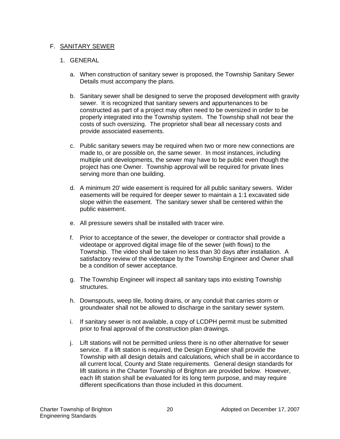#### F. SANITARY SEWER

- a. When construction of sanitary sewer is proposed, the Township Sanitary Sewer Details must accompany the plans.
- b. Sanitary sewer shall be designed to serve the proposed development with gravity sewer. It is recognized that sanitary sewers and appurtenances to be constructed as part of a project may often need to be oversized in order to be properly integrated into the Township system. The Township shall not bear the costs of such oversizing. The proprietor shall bear all necessary costs and provide associated easements.
- c. Public sanitary sewers may be required when two or more new connections are made to, or are possible on, the same sewer. In most instances, including multiple unit developments, the sewer may have to be public even though the project has one Owner. Township approval will be required for private lines serving more than one building.
- d. A minimum 20' wide easement is required for all public sanitary sewers. Wider easements will be required for deeper sewer to maintain a 1:1 excavated side slope within the easement. The sanitary sewer shall be centered within the public easement.
- e. All pressure sewers shall be installed with tracer wire.
- f. Prior to acceptance of the sewer, the developer or contractor shall provide a videotape or approved digital image file of the sewer (with flows) to the Township. The video shall be taken no less than 30 days after installation. A satisfactory review of the videotape by the Township Engineer and Owner shall be a condition of sewer acceptance.
- g. The Township Engineer will inspect all sanitary taps into existing Township structures.
- h. Downspouts, weep tile, footing drains, or any conduit that carries storm or groundwater shall not be allowed to discharge in the sanitary sewer system.
- i. If sanitary sewer is not available, a copy of LCDPH permit must be submitted prior to final approval of the construction plan drawings.
- j. Lift stations will not be permitted unless there is no other alternative for sewer service. If a lift station is required, the Design Engineer shall provide the Township with all design details and calculations, which shall be in accordance to all current local, County and State requirements. General design standards for lift stations in the Charter Township of Brighton are provided below. However, each lift station shall be evaluated for its long term purpose, and may require different specifications than those included in this document.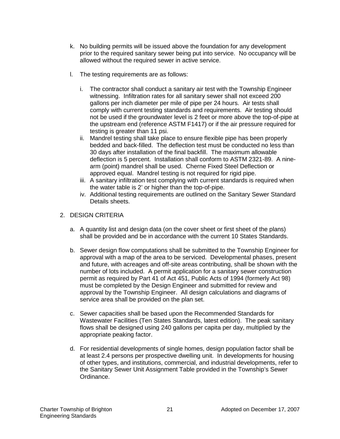- k. No building permits will be issued above the foundation for any development prior to the required sanitary sewer being put into service. No occupancy will be allowed without the required sewer in active service.
- l. The testing requirements are as follows:
	- i. The contractor shall conduct a sanitary air test with the Township Engineer witnessing. Infiltration rates for all sanitary sewer shall not exceed 200 gallons per inch diameter per mile of pipe per 24 hours. Air tests shall comply with current testing standards and requirements. Air testing should not be used if the groundwater level is 2 feet or more above the top-of-pipe at the upstream end (reference ASTM F1417) or if the air pressure required for testing is greater than 11 psi.
	- ii. Mandrel testing shall take place to ensure flexible pipe has been properly bedded and back-filled. The deflection test must be conducted no less than 30 days after installation of the final backfill. The maximum allowable deflection is 5 percent. Installation shall conform to ASTM 2321-89. A ninearm (point) mandrel shall be used. Cherne Fixed Steel Deflection or approved equal. Mandrel testing is not required for rigid pipe.
	- iii. A sanitary infiltration test complying with current standards is required when the water table is 2' or higher than the top-of-pipe.
	- iv. Additional testing requirements are outlined on the Sanitary Sewer Standard Details sheets.

#### 2. DESIGN CRITERIA

- a. A quantity list and design data (on the cover sheet or first sheet of the plans) shall be provided and be in accordance with the current 10 States Standards.
- b. Sewer design flow computations shall be submitted to the Township Engineer for approval with a map of the area to be serviced. Developmental phases, present and future, with acreages and off-site areas contributing, shall be shown with the number of lots included. A permit application for a sanitary sewer construction permit as required by Part 41 of Act 451, Public Acts of 1994 (formerly Act 98) must be completed by the Design Engineer and submitted for review and approval by the Township Engineer. All design calculations and diagrams of service area shall be provided on the plan set.
- c. Sewer capacities shall be based upon the Recommended Standards for Wastewater Facilities (Ten States Standards, latest edition). The peak sanitary flows shall be designed using 240 gallons per capita per day, multiplied by the appropriate peaking factor.
- d. For residential developments of single homes, design population factor shall be at least 2.4 persons per prospective dwelling unit. In developments for housing of other types, and institutions, commercial, and industrial developments, refer to the Sanitary Sewer Unit Assignment Table provided in the Township's Sewer Ordinance.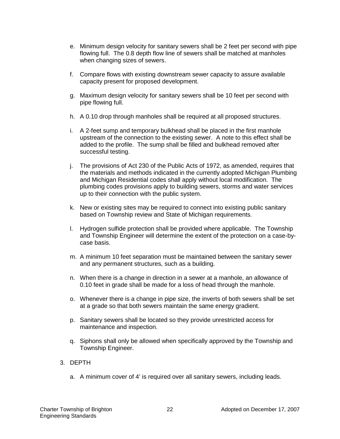- e. Minimum design velocity for sanitary sewers shall be 2 feet per second with pipe flowing full. The 0.8 depth flow line of sewers shall be matched at manholes when changing sizes of sewers.
- f. Compare flows with existing downstream sewer capacity to assure available capacity present for proposed development.
- g. Maximum design velocity for sanitary sewers shall be 10 feet per second with pipe flowing full.
- h. A 0.10 drop through manholes shall be required at all proposed structures.
- i. A 2-feet sump and temporary bulkhead shall be placed in the first manhole upstream of the connection to the existing sewer. A note to this effect shall be added to the profile. The sump shall be filled and bulkhead removed after successful testing.
- j. The provisions of Act 230 of the Public Acts of 1972, as amended, requires that the materials and methods indicated in the currently adopted Michigan Plumbing and Michigan Residential codes shall apply without local modification. The plumbing codes provisions apply to building sewers, storms and water services up to their connection with the public system.
- k. New or existing sites may be required to connect into existing public sanitary based on Township review and State of Michigan requirements.
- l. Hydrogen sulfide protection shall be provided where applicable. The Township and Township Engineer will determine the extent of the protection on a case-bycase basis.
- m. A minimum 10 feet separation must be maintained between the sanitary sewer and any permanent structures, such as a building.
- n. When there is a change in direction in a sewer at a manhole, an allowance of 0.10 feet in grade shall be made for a loss of head through the manhole.
- o. Whenever there is a change in pipe size, the inverts of both sewers shall be set at a grade so that both sewers maintain the same energy gradient.
- p. Sanitary sewers shall be located so they provide unrestricted access for maintenance and inspection.
- q. Siphons shall only be allowed when specifically approved by the Township and Township Engineer.
- 3. DEPTH
	- a. A minimum cover of 4' is required over all sanitary sewers, including leads.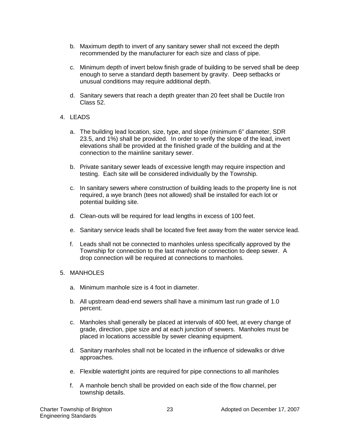- b. Maximum depth to invert of any sanitary sewer shall not exceed the depth recommended by the manufacturer for each size and class of pipe.
- c. Minimum depth of invert below finish grade of building to be served shall be deep enough to serve a standard depth basement by gravity. Deep setbacks or unusual conditions may require additional depth.
- d. Sanitary sewers that reach a depth greater than 20 feet shall be Ductile Iron Class 52.
- 4. LEADS
	- a. The building lead location, size, type, and slope (minimum 6" diameter, SDR 23.5, and 1%) shall be provided. In order to verify the slope of the lead, invert elevations shall be provided at the finished grade of the building and at the connection to the mainline sanitary sewer.
	- b. Private sanitary sewer leads of excessive length may require inspection and testing. Each site will be considered individually by the Township.
	- c. In sanitary sewers where construction of building leads to the property line is not required, a wye branch (tees not allowed) shall be installed for each lot or potential building site.
	- d. Clean-outs will be required for lead lengths in excess of 100 feet.
	- e. Sanitary service leads shall be located five feet away from the water service lead.
	- f. Leads shall not be connected to manholes unless specifically approved by the Township for connection to the last manhole or connection to deep sewer. A drop connection will be required at connections to manholes.
- 5. MANHOLES
	- a. Minimum manhole size is 4 foot in diameter.
	- b. All upstream dead-end sewers shall have a minimum last run grade of 1.0 percent.
	- c. Manholes shall generally be placed at intervals of 400 feet, at every change of grade, direction, pipe size and at each junction of sewers. Manholes must be placed in locations accessible by sewer cleaning equipment.
	- d. Sanitary manholes shall not be located in the influence of sidewalks or drive approaches.
	- e. Flexible watertight joints are required for pipe connections to all manholes
	- f. A manhole bench shall be provided on each side of the flow channel, per township details.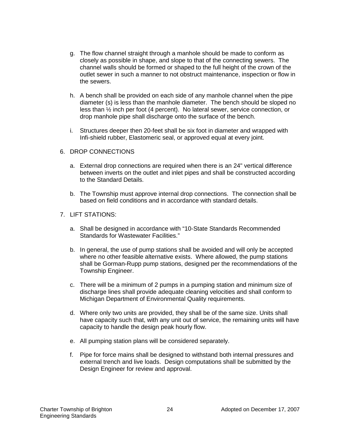- g. The flow channel straight through a manhole should be made to conform as closely as possible in shape, and slope to that of the connecting sewers. The channel walls should be formed or shaped to the full height of the crown of the outlet sewer in such a manner to not obstruct maintenance, inspection or flow in the sewers.
- h. A bench shall be provided on each side of any manhole channel when the pipe diameter (s) is less than the manhole diameter. The bench should be sloped no less than ½ inch per foot (4 percent). No lateral sewer, service connection, or drop manhole pipe shall discharge onto the surface of the bench.
- i. Structures deeper then 20-feet shall be six foot in diameter and wrapped with Infi-shield rubber, Elastomeric seal, or approved equal at every joint.
- 6. DROP CONNECTIONS
	- a. External drop connections are required when there is an 24" vertical difference between inverts on the outlet and inlet pipes and shall be constructed according to the Standard Details.
	- b. The Township must approve internal drop connections. The connection shall be based on field conditions and in accordance with standard details.
- 7. LIFT STATIONS:
	- a. Shall be designed in accordance with "10-State Standards Recommended Standards for Wastewater Facilities."
	- b. In general, the use of pump stations shall be avoided and will only be accepted where no other feasible alternative exists. Where allowed, the pump stations shall be Gorman-Rupp pump stations, designed per the recommendations of the Township Engineer.
	- c. There will be a minimum of 2 pumps in a pumping station and minimum size of discharge lines shall provide adequate cleaning velocities and shall conform to Michigan Department of Environmental Quality requirements.
	- d. Where only two units are provided, they shall be of the same size. Units shall have capacity such that, with any unit out of service, the remaining units will have capacity to handle the design peak hourly flow.
	- e. All pumping station plans will be considered separately.
	- f. Pipe for force mains shall be designed to withstand both internal pressures and external trench and live loads. Design computations shall be submitted by the Design Engineer for review and approval.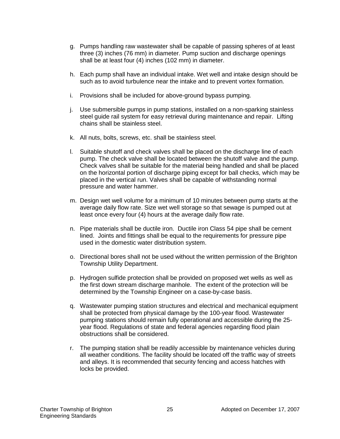- g. Pumps handling raw wastewater shall be capable of passing spheres of at least three (3) inches (76 mm) in diameter. Pump suction and discharge openings shall be at least four (4) inches (102 mm) in diameter.
- h. Each pump shall have an individual intake. Wet well and intake design should be such as to avoid turbulence near the intake and to prevent vortex formation.
- i. Provisions shall be included for above-ground bypass pumping.
- j. Use submersible pumps in pump stations, installed on a non-sparking stainless steel guide rail system for easy retrieval during maintenance and repair. Lifting chains shall be stainless steel.
- k. All nuts, bolts, screws, etc. shall be stainless steel.
- l. Suitable shutoff and check valves shall be placed on the discharge line of each pump. The check valve shall be located between the shutoff valve and the pump. Check valves shall be suitable for the material being handled and shall be placed on the horizontal portion of discharge piping except for ball checks, which may be placed in the vertical run. Valves shall be capable of withstanding normal pressure and water hammer.
- m. Design wet well volume for a minimum of 10 minutes between pump starts at the average daily flow rate. Size wet well storage so that sewage is pumped out at least once every four (4) hours at the average daily flow rate.
- n. Pipe materials shall be ductile iron. Ductile iron Class 54 pipe shall be cement lined. Joints and fittings shall be equal to the requirements for pressure pipe used in the domestic water distribution system.
- o. Directional bores shall not be used without the written permission of the Brighton Township Utility Department.
- p. Hydrogen sulfide protection shall be provided on proposed wet wells as well as the first down stream discharge manhole. The extent of the protection will be determined by the Township Engineer on a case-by-case basis.
- q. Wastewater pumping station structures and electrical and mechanical equipment shall be protected from physical damage by the 100-year flood. Wastewater pumping stations should remain fully operational and accessible during the 25 year flood. Regulations of state and federal agencies regarding flood plain obstructions shall be considered.
- r. The pumping station shall be readily accessible by maintenance vehicles during all weather conditions. The facility should be located off the traffic way of streets and alleys. It is recommended that security fencing and access hatches with locks be provided.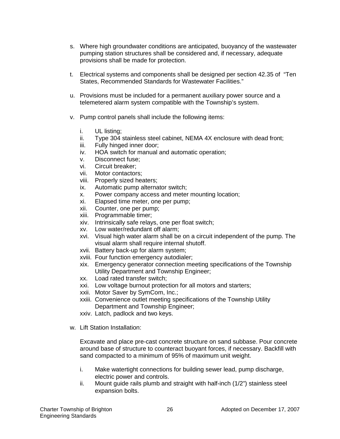- s. Where high groundwater conditions are anticipated, buoyancy of the wastewater pumping station structures shall be considered and, if necessary, adequate provisions shall be made for protection.
- t. Electrical systems and components shall be designed per section 42.35 of "Ten States, Recommended Standards for Wastewater Facilities."
- u. Provisions must be included for a permanent auxiliary power source and a telemetered alarm system compatible with the Township's system.
- v. Pump control panels shall include the following items:
	- i. UL listing;
	- ii. Type 304 stainless steel cabinet, NEMA 4X enclosure with dead front;
	- iii. Fully hinged inner door;
	- iv. HOA switch for manual and automatic operation;
	- v. Disconnect fuse;
	- vi. Circuit breaker;
	- vii. Motor contactors;
	- viii. Properly sized heaters;
	- ix. Automatic pump alternator switch;
	- x. Power company access and meter mounting location;<br>xi. Elapsed time meter, one per pump;
	- Elapsed time meter, one per pump;
	- xii. Counter, one per pump;
	- xiii. Programmable timer;
	- xiv. Intrinsically safe relays, one per float switch;
	- xv. Low water/redundant off alarm;
	- xvi. Visual high water alarm shall be on a circuit independent of the pump. The visual alarm shall require internal shutoff.
	- xvii. Battery back-up for alarm system;
	- xviii. Four function emergency autodialer;
	- xix. Emergency generator connection meeting specifications of the Township Utility Department and Township Engineer;
	- xx. Load rated transfer switch;
	- xxi. Low voltage burnout protection for all motors and starters;
	- xxii. Motor Saver by SymCom, Inc.;
	- xxiii. Convenience outlet meeting specifications of the Township Utility Department and Township Engineer;
	- xxiv. Latch, padlock and two keys.
- w. Lift Station Installation:

Excavate and place pre-cast concrete structure on sand subbase. Pour concrete around base of structure to counteract buoyant forces, if necessary. Backfill with sand compacted to a minimum of 95% of maximum unit weight.

- i. Make watertight connections for building sewer lead, pump discharge, electric power and controls.
- ii. Mount guide rails plumb and straight with half-inch (1/2") stainless steel expansion bolts.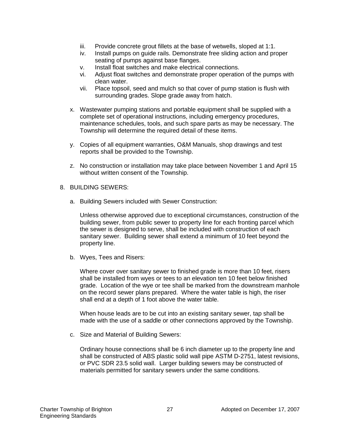- iii. Provide concrete grout fillets at the base of wetwells, sloped at 1:1.
- iv. Install pumps on guide rails. Demonstrate free sliding action and proper seating of pumps against base flanges.
- v. Install float switches and make electrical connections.
- vi. Adjust float switches and demonstrate proper operation of the pumps with clean water.
- vii. Place topsoil, seed and mulch so that cover of pump station is flush with surrounding grades. Slope grade away from hatch.
- x. Wastewater pumping stations and portable equipment shall be supplied with a complete set of operational instructions, including emergency procedures, maintenance schedules, tools, and such spare parts as may be necessary. The Township will determine the required detail of these items.
- y. Copies of all equipment warranties, O&M Manuals, shop drawings and test reports shall be provided to the Township.
- z. No construction or installation may take place between November 1 and April 15 without written consent of the Township.
- 8. BUILDING SEWERS:
	- a. Building Sewers included with Sewer Construction:

Unless otherwise approved due to exceptional circumstances, construction of the building sewer, from public sewer to property line for each fronting parcel which the sewer is designed to serve, shall be included with construction of each sanitary sewer. Building sewer shall extend a minimum of 10 feet beyond the property line.

b. Wyes, Tees and Risers:

Where cover over sanitary sewer to finished grade is more than 10 feet, risers shall be installed from wyes or tees to an elevation ten 10 feet below finished grade. Location of the wye or tee shall be marked from the downstream manhole on the record sewer plans prepared. Where the water table is high, the riser shall end at a depth of 1 foot above the water table.

When house leads are to be cut into an existing sanitary sewer, tap shall be made with the use of a saddle or other connections approved by the Township.

c. Size and Material of Building Sewers:

Ordinary house connections shall be 6 inch diameter up to the property line and shall be constructed of ABS plastic solid wall pipe ASTM D-2751, latest revisions, or PVC SDR 23.5 solid wall. Larger building sewers may be constructed of materials permitted for sanitary sewers under the same conditions.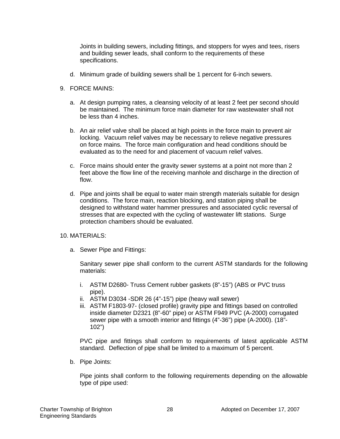Joints in building sewers, including fittings, and stoppers for wyes and tees, risers and building sewer leads, shall conform to the requirements of these specifications.

d. Minimum grade of building sewers shall be 1 percent for 6-inch sewers.

#### 9. FORCE MAINS:

- a. At design pumping rates, a cleansing velocity of at least 2 feet per second should be maintained. The minimum force main diameter for raw wastewater shall not be less than 4 inches.
- b. An air relief valve shall be placed at high points in the force main to prevent air locking. Vacuum relief valves may be necessary to relieve negative pressures on force mains. The force main configuration and head conditions should be evaluated as to the need for and placement of vacuum relief valves.
- c. Force mains should enter the gravity sewer systems at a point not more than 2 feet above the flow line of the receiving manhole and discharge in the direction of flow.
- d. Pipe and joints shall be equal to water main strength materials suitable for design conditions. The force main, reaction blocking, and station piping shall be designed to withstand water hammer pressures and associated cyclic reversal of stresses that are expected with the cycling of wastewater lift stations. Surge protection chambers should be evaluated.

#### 10. MATERIALS:

a. Sewer Pipe and Fittings:

Sanitary sewer pipe shall conform to the current ASTM standards for the following materials:

- i. ASTM D2680- Truss Cement rubber gaskets (8"-15") (ABS or PVC truss pipe).
- ii. ASTM D3034 -SDR 26 (4"-15") pipe (heavy wall sewer)
- iii. ASTM F1803-97- (closed profile) gravity pipe and fittings based on controlled inside diameter D2321 (8"-60" pipe) or ASTM F949 PVC (A-2000) corrugated sewer pipe with a smooth interior and fittings (4"-36") pipe (A-2000). (18"- 102")

PVC pipe and fittings shall conform to requirements of latest applicable ASTM standard. Deflection of pipe shall be limited to a maximum of 5 percent.

b. Pipe Joints:

Pipe joints shall conform to the following requirements depending on the allowable type of pipe used: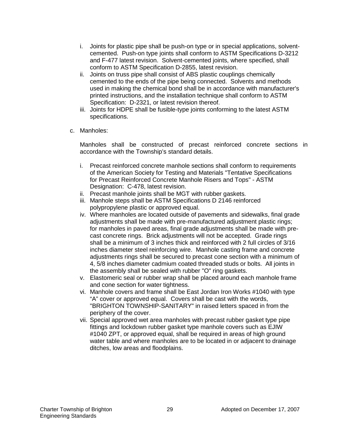- i. Joints for plastic pipe shall be push-on type or in special applications, solventcemented. Push-on type joints shall conform to ASTM Specifications D-3212 and F-477 latest revision. Solvent-cemented joints, where specified, shall conform to ASTM Specification D-2855, latest revision.
- ii. Joints on truss pipe shall consist of ABS plastic couplings chemically cemented to the ends of the pipe being connected. Solvents and methods used in making the chemical bond shall be in accordance with manufacturer's printed instructions, and the installation technique shall conform to ASTM Specification: D-2321, or latest revision thereof.
- iii. Joints for HDPE shall be fusible-type joints conforming to the latest ASTM specifications.
- c. Manholes:

Manholes shall be constructed of precast reinforced concrete sections in accordance with the Township's standard details.

- i. Precast reinforced concrete manhole sections shall conform to requirements of the American Society for Testing and Materials "Tentative Specifications for Precast Reinforced Concrete Manhole Risers and Tops" - ASTM Designation: C-478, latest revision.
- ii. Precast manhole joints shall be MGT with rubber gaskets.
- iii. Manhole steps shall be ASTM Specifications D 2146 reinforced polypropylene plastic or approved equal.
- iv. Where manholes are located outside of pavements and sidewalks, final grade adjustments shall be made with pre-manufactured adjustment plastic rings; for manholes in paved areas, final grade adjustments shall be made with precast concrete rings. Brick adjustments will not be accepted. Grade rings shall be a minimum of 3 inches thick and reinforced with 2 full circles of 3/16 inches diameter steel reinforcing wire. Manhole casting frame and concrete adjustments rings shall be secured to precast cone section with a minimum of 4, 5/8 inches diameter cadmium coated threaded studs or bolts. All joints in the assembly shall be sealed with rubber "O" ring gaskets.
- v. Elastomeric seal or rubber wrap shall be placed around each manhole frame and cone section for water tightness.
- vi. Manhole covers and frame shall be East Jordan Iron Works #1040 with type "A" cover or approved equal. Covers shall be cast with the words, "BRIGHTON TOWNSHIP-SANITARY" in raised letters spaced in from the periphery of the cover.
- vii. Special approved wet area manholes with precast rubber gasket type pipe fittings and lockdown rubber gasket type manhole covers such as EJIW #1040 ZPT, or approved equal, shall be required in areas of high ground water table and where manholes are to be located in or adjacent to drainage ditches, low areas and floodplains.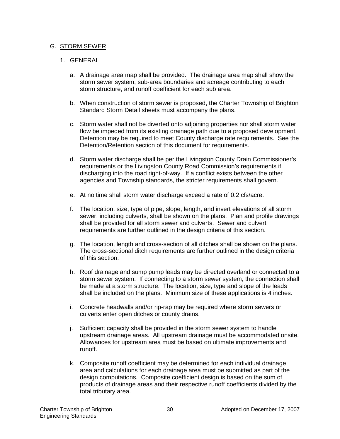#### G. STORM SEWER

- a. A drainage area map shall be provided. The drainage area map shall show the storm sewer system, sub-area boundaries and acreage contributing to each storm structure, and runoff coefficient for each sub area.
- b. When construction of storm sewer is proposed, the Charter Township of Brighton Standard Storm Detail sheets must accompany the plans.
- c. Storm water shall not be diverted onto adjoining properties nor shall storm water flow be impeded from its existing drainage path due to a proposed development. Detention may be required to meet County discharge rate requirements. See the Detention/Retention section of this document for requirements.
- d. Storm water discharge shall be per the Livingston County Drain Commissioner's requirements or the Livingston County Road Commission's requirements if discharging into the road right-of-way. If a conflict exists between the other agencies and Township standards, the stricter requirements shall govern.
- e. At no time shall storm water discharge exceed a rate of 0.2 cfs/acre.
- f. The location, size, type of pipe, slope, length, and invert elevations of all storm sewer, including culverts, shall be shown on the plans. Plan and profile drawings shall be provided for all storm sewer and culverts. Sewer and culvert requirements are further outlined in the design criteria of this section.
- g. The location, length and cross-section of all ditches shall be shown on the plans. The cross-sectional ditch requirements are further outlined in the design criteria of this section.
- h. Roof drainage and sump pump leads may be directed overland or connected to a storm sewer system. If connecting to a storm sewer system, the connection shall be made at a storm structure. The location, size, type and slope of the leads shall be included on the plans. Minimum size of these applications is 4 inches.
- i. Concrete headwalls and/or rip-rap may be required where storm sewers or culverts enter open ditches or county drains.
- j. Sufficient capacity shall be provided in the storm sewer system to handle upstream drainage areas. All upstream drainage must be accommodated onsite. Allowances for upstream area must be based on ultimate improvements and runoff.
- k. Composite runoff coefficient may be determined for each individual drainage area and calculations for each drainage area must be submitted as part of the design computations. Composite coefficient design is based on the sum of products of drainage areas and their respective runoff coefficients divided by the total tributary area.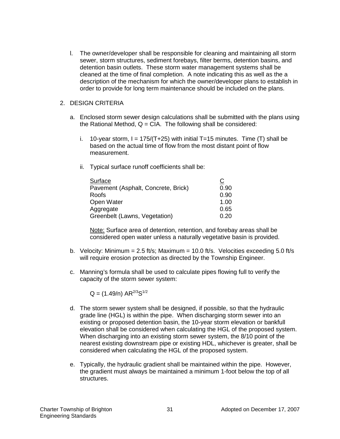l. The owner/developer shall be responsible for cleaning and maintaining all storm sewer, storm structures, sediment forebays, filter berms, detention basins, and detention basin outlets. These storm water management systems shall be cleaned at the time of final completion. A note indicating this as well as the a description of the mechanism for which the owner/developer plans to establish in order to provide for long term maintenance should be included on the plans.

#### 2. DESIGN CRITERIA

- a. Enclosed storm sewer design calculations shall be submitted with the plans using the Rational Method,  $Q = CIA$ . The following shall be considered:
	- i. 10-year storm,  $I = 175/(T+25)$  with initial T=15 minutes. Time (T) shall be based on the actual time of flow from the most distant point of flow measurement.
	- ii. Typical surface runoff coefficients shall be:

| Surface                             | <u>C</u> |
|-------------------------------------|----------|
| Pavement (Asphalt, Concrete, Brick) | 0.90     |
| Roofs                               | 0.90     |
| Open Water                          | 1.00     |
| Aggregate                           | 0.65     |
| Greenbelt (Lawns, Vegetation)       | 0.20     |

Note: Surface area of detention, retention, and forebay areas shall be considered open water unless a naturally vegetative basin is provided.

- b. Velocity: Minimum =  $2.5$  ft/s; Maximum =  $10.0$  ft/s. Velocities exceeding  $5.0$  ft/s will require erosion protection as directed by the Township Engineer.
- c. Manning's formula shall be used to calculate pipes flowing full to verify the capacity of the storm sewer system:

 $Q = (1.49/n) AR^{2/3}S^{1/2}$ 

- d. The storm sewer system shall be designed, if possible, so that the hydraulic grade line (HGL) is within the pipe. When discharging storm sewer into an existing or proposed detention basin, the 10-year storm elevation or bankfull elevation shall be considered when calculating the HGL of the proposed system. When discharging into an existing storm sewer system, the 8/10 point of the nearest existing downstream pipe or existing HDL, whichever is greater, shall be considered when calculating the HGL of the proposed system.
- e. Typically, the hydraulic gradient shall be maintained within the pipe. However, the gradient must always be maintained a minimum 1-foot below the top of all structures.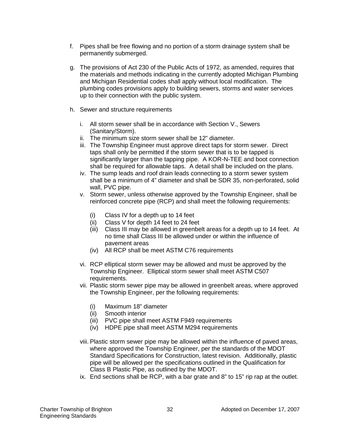- f. Pipes shall be free flowing and no portion of a storm drainage system shall be permanently submerged.
- g. The provisions of Act 230 of the Public Acts of 1972, as amended, requires that the materials and methods indicating in the currently adopted Michigan Plumbing and Michigan Residential codes shall apply without local modification. The plumbing codes provisions apply to building sewers, storms and water services up to their connection with the public system.
- h. Sewer and structure requirements
	- i. All storm sewer shall be in accordance with Section V., Sewers (Sanitary/Storm).
	- ii. The minimum size storm sewer shall be 12" diameter.
	- iii. The Township Engineer must approve direct taps for storm sewer. Direct taps shall only be permitted if the storm sewer that is to be tapped is significantly larger than the tapping pipe. A KOR-N-TEE and boot connection shall be required for allowable taps. A detail shall be included on the plans.
	- iv. The sump leads and roof drain leads connecting to a storm sewer system shall be a minimum of 4" diameter and shall be SDR 35, non-perforated, solid wall, PVC pipe.
	- v. Storm sewer, unless otherwise approved by the Township Engineer, shall be reinforced concrete pipe (RCP) and shall meet the following requirements:
		- (i) Class IV for a depth up to 14 feet
		- (ii) Class V for depth 14 feet to 24 feet
		- (iii) Class III may be allowed in greenbelt areas for a depth up to 14 feet. At no time shall Class III be allowed under or within the influence of pavement areas
		- (iv) All RCP shall be meet ASTM C76 requirements
	- vi. RCP elliptical storm sewer may be allowed and must be approved by the Township Engineer. Elliptical storm sewer shall meet ASTM C507 requirements.
	- vii. Plastic storm sewer pipe may be allowed in greenbelt areas, where approved the Township Engineer, per the following requirements:
		- (i) Maximum 18" diameter
		- (ii) Smooth interior
		- (iii) PVC pipe shall meet ASTM F949 requirements
		- (iv) HDPE pipe shall meet ASTM M294 requirements
	- viii. Plastic storm sewer pipe may be allowed within the influence of paved areas, where approved the Township Engineer, per the standards of the MDOT Standard Specifications for Construction, latest revision. Additionally, plastic pipe will be allowed per the specifications outlined in the Qualification for Class B Plastic Pipe, as outlined by the MDOT.
	- ix. End sections shall be RCP, with a bar grate and 8" to 15" rip rap at the outlet.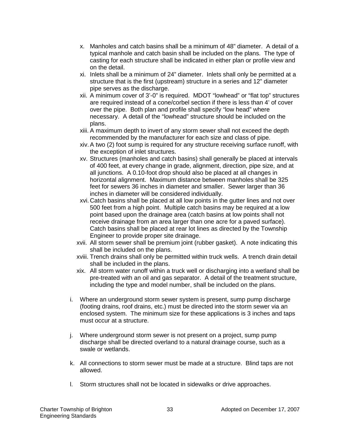- x. Manholes and catch basins shall be a minimum of 48" diameter. A detail of a typical manhole and catch basin shall be included on the plans. The type of casting for each structure shall be indicated in either plan or profile view and on the detail.
- xi. Inlets shall be a minimum of 24" diameter. Inlets shall only be permitted at a structure that is the first (upstream) structure in a series and 12" diameter pipe serves as the discharge.
- xii. A minimum cover of 3'-0" is required. MDOT "lowhead" or "flat top" structures are required instead of a cone/corbel section if there is less than 4' of cover over the pipe. Both plan and profile shall specify "low head" where necessary. A detail of the "lowhead" structure should be included on the plans.
- xiii. A maximum depth to invert of any storm sewer shall not exceed the depth recommended by the manufacturer for each size and class of pipe.
- xiv.A two (2) foot sump is required for any structure receiving surface runoff, with the exception of inlet structures.
- xv. Structures (manholes and catch basins) shall generally be placed at intervals of 400 feet, at every change in grade, alignment, direction, pipe size, and at all junctions. A 0.10-foot drop should also be placed at all changes in horizontal alignment. Maximum distance between manholes shall be 325 feet for sewers 36 inches in diameter and smaller. Sewer larger than 36 inches in diameter will be considered individually.
- xvi. Catch basins shall be placed at all low points in the gutter lines and not over 500 feet from a high point. Multiple catch basins may be required at a low point based upon the drainage area (catch basins at low points shall not receive drainage from an area larger than one acre for a paved surface). Catch basins shall be placed at rear lot lines as directed by the Township Engineer to provide proper site drainage.
- xvii. All storm sewer shall be premium joint (rubber gasket). A note indicating this shall be included on the plans.
- xviii. Trench drains shall only be permitted within truck wells. A trench drain detail shall be included in the plans.
- xix. All storm water runoff within a truck well or discharging into a wetland shall be pre-treated with an oil and gas separator. A detail of the treatment structure, including the type and model number, shall be included on the plans.
- i. Where an underground storm sewer system is present, sump pump discharge (footing drains, roof drains, etc.) must be directed into the storm sewer via an enclosed system. The minimum size for these applications is 3 inches and taps must occur at a structure.
- j. Where underground storm sewer is not present on a project, sump pump discharge shall be directed overland to a natural drainage course, such as a swale or wetlands.
- k. All connections to storm sewer must be made at a structure. Blind taps are not allowed.
- l. Storm structures shall not be located in sidewalks or drive approaches.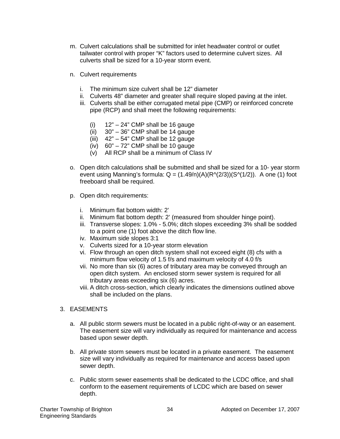- m. Culvert calculations shall be submitted for inlet headwater control or outlet tailwater control with proper "K" factors used to determine culvert sizes. All culverts shall be sized for a 10-year storm event.
- n. Culvert requirements
	- i. The minimum size culvert shall be 12" diameter
	- ii. Culverts 48" diameter and greater shall require sloped paving at the inlet.
	- iii. Culverts shall be either corrugated metal pipe (CMP) or reinforced concrete pipe (RCP) and shall meet the following requirements:
		- (i)  $12" 24"$  CMP shall be 16 gauge
		- $(ii)$  30" 36" CMP shall be 14 gauge
		- (iii) 42" 54" CMP shall be 12 gauge
		- (iv)  $60" 72"$  CMP shall be 10 gauge
		- (v) All RCP shall be a minimum of Class IV
- o. Open ditch calculations shall be submitted and shall be sized for a 10- year storm event using Manning's formula:  $Q = (1.49/n)(A)(R<sup>A</sup>(2/3))(S<sup>A</sup>(1/2))$ . A one (1) foot freeboard shall be required.
- p. Open ditch requirements:
	- i. Minimum flat bottom width: 2'
	- ii. Minimum flat bottom depth: 2' (measured from shoulder hinge point).
	- iii. Transverse slopes: 1.0% 5.0%; ditch slopes exceeding 3% shall be sodded to a point one (1) foot above the ditch flow line.
	- iv. Maximum side slopes 3:1
	- v. Culverts sized for a 10-year storm elevation
	- vi. Flow through an open ditch system shall not exceed eight (8) cfs with a minimum flow velocity of 1.5 f/s and maximum velocity of 4.0 f/s
	- vii. No more than six (6) acres of tributary area may be conveyed through an open ditch system. An enclosed storm sewer system is required for all tributary areas exceeding six (6) acres.
	- viii. A ditch cross-section, which clearly indicates the dimensions outlined above shall be included on the plans.
- 3. EASEMENTS
	- a. All public storm sewers must be located in a public right-of-way or an easement. The easement size will vary individually as required for maintenance and access based upon sewer depth.
	- b. All private storm sewers must be located in a private easement. The easement size will vary individually as required for maintenance and access based upon sewer depth.
	- c. Public storm sewer easements shall be dedicated to the LCDC office, and shall conform to the easement requirements of LCDC which are based on sewer depth.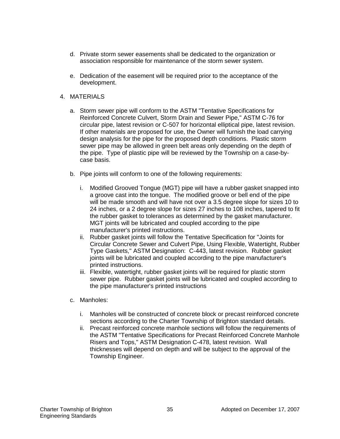- d. Private storm sewer easements shall be dedicated to the organization or association responsible for maintenance of the storm sewer system.
- e. Dedication of the easement will be required prior to the acceptance of the development.
- 4. MATERIALS
	- a. Storm sewer pipe will conform to the ASTM "Tentative Specifications for Reinforced Concrete Culvert, Storm Drain and Sewer Pipe," ASTM C-76 for circular pipe, latest revision or C-507 for horizontal elliptical pipe, latest revision. If other materials are proposed for use, the Owner will furnish the load carrying design analysis for the pipe for the proposed depth conditions. Plastic storm sewer pipe may be allowed in green belt areas only depending on the depth of the pipe. Type of plastic pipe will be reviewed by the Township on a case-bycase basis.
	- b. Pipe joints will conform to one of the following requirements:
		- i. Modified Grooved Tongue (MGT) pipe will have a rubber gasket snapped into a groove cast into the tongue. The modified groove or bell end of the pipe will be made smooth and will have not over a 3.5 degree slope for sizes 10 to 24 inches, or a 2 degree slope for sizes 27 inches to 108 inches, tapered to fit the rubber gasket to tolerances as determined by the gasket manufacturer. MGT joints will be lubricated and coupled according to the pipe manufacturer's printed instructions.
		- ii. Rubber gasket joints will follow the Tentative Specification for "Joints for Circular Concrete Sewer and Culvert Pipe, Using Flexible, Watertight, Rubber Type Gaskets," ASTM Designation: C-443, latest revision. Rubber gasket joints will be lubricated and coupled according to the pipe manufacturer's printed instructions.
		- iii. Flexible, watertight, rubber gasket joints will be required for plastic storm sewer pipe. Rubber gasket joints will be lubricated and coupled according to the pipe manufacturer's printed instructions
	- c. Manholes:
		- i. Manholes will be constructed of concrete block or precast reinforced concrete sections according to the Charter Township of Brighton standard details.
		- ii. Precast reinforced concrete manhole sections will follow the requirements of the ASTM "Tentative Specifications for Precast Reinforced Concrete Manhole Risers and Tops," ASTM Designation C-478, latest revision. Wall thicknesses will depend on depth and will be subject to the approval of the Township Engineer.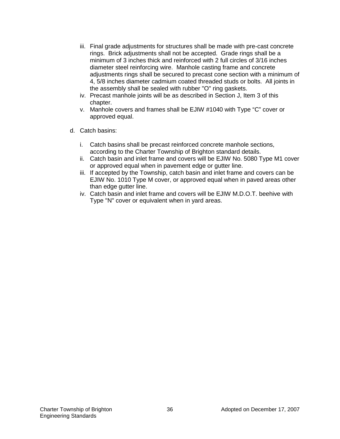- iii. Final grade adjustments for structures shall be made with pre-cast concrete rings. Brick adjustments shall not be accepted. Grade rings shall be a minimum of 3 inches thick and reinforced with 2 full circles of 3/16 inches diameter steel reinforcing wire. Manhole casting frame and concrete adjustments rings shall be secured to precast cone section with a minimum of 4, 5/8 inches diameter cadmium coated threaded studs or bolts. All joints in the assembly shall be sealed with rubber "O" ring gaskets.
- iv. Precast manhole joints will be as described in Section J, Item 3 of this chapter.
- v. Manhole covers and frames shall be EJIW #1040 with Type "C" cover or approved equal.
- d. Catch basins:
	- i. Catch basins shall be precast reinforced concrete manhole sections, according to the Charter Township of Brighton standard details.
	- ii. Catch basin and inlet frame and covers will be EJIW No. 5080 Type M1 cover or approved equal when in pavement edge or gutter line.
	- iii. If accepted by the Township, catch basin and inlet frame and covers can be EJIW No. 1010 Type M cover, or approved equal when in paved areas other than edge gutter line.
	- iv. Catch basin and inlet frame and covers will be EJIW M.D.O.T. beehive with Type "N" cover or equivalent when in yard areas.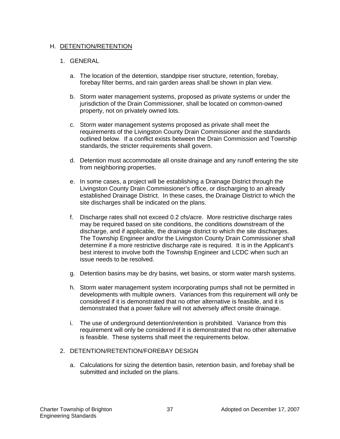#### H. DETENTION/RETENTION

#### 1. GENERAL

- a. The location of the detention, standpipe riser structure, retention, forebay, forebay filter berms, and rain garden areas shall be shown in plan view.
- b. Storm water management systems, proposed as private systems or under the jurisdiction of the Drain Commissioner, shall be located on common-owned property, not on privately owned lots.
- c. Storm water management systems proposed as private shall meet the requirements of the Livingston County Drain Commissioner and the standards outlined below. If a conflict exists between the Drain Commission and Township standards, the stricter requirements shall govern.
- d. Detention must accommodate all onsite drainage and any runoff entering the site from neighboring properties.
- e. In some cases, a project will be establishing a Drainage District through the Livingston County Drain Commissioner's office, or discharging to an already established Drainage District. In these cases, the Drainage District to which the site discharges shall be indicated on the plans.
- f. Discharge rates shall not exceed 0.2 cfs/acre. More restrictive discharge rates may be required based on site conditions, the conditions downstream of the discharge, and if applicable, the drainage district to which the site discharges. The Township Engineer and/or the Livingston County Drain Commissioner shall determine if a more restrictive discharge rate is required. It is in the Applicant's best interest to involve both the Township Engineer and LCDC when such an issue needs to be resolved.
- g. Detention basins may be dry basins, wet basins, or storm water marsh systems.
- h. Storm water management system incorporating pumps shall not be permitted in developments with multiple owners. Variances from this requirement will only be considered if it is demonstrated that no other alternative is feasible, and it is demonstrated that a power failure will not adversely affect onsite drainage.
- i. The use of underground detention/retention is prohibited. Variance from this requirement will only be considered if it is demonstrated that no other alternative is feasible. These systems shall meet the requirements below.

#### 2. DETENTION/RETENTION/FOREBAY DESIGN

a. Calculations for sizing the detention basin, retention basin, and forebay shall be submitted and included on the plans.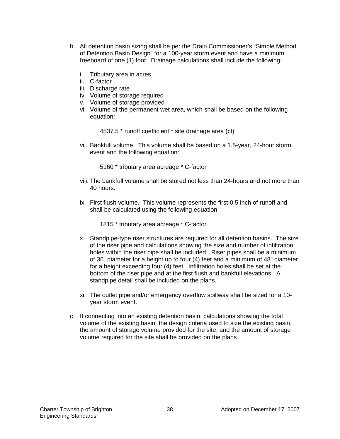- b. All detention basin sizing shall be per the Drain Commissioner's "Simple Method of Detention Basin Design" for a 100-year storm event and have a minimum freeboard of one (1) foot. Drainage calculations shall include the following:
	- i. Tributary area in acres
	- ii. C-factor
	- iii. Discharge rate
	- iv. Volume of storage required
	- v. Volume of storage provided
	- vi. Volume of the permanent wet area, which shall be based on the following equation:

4537.5 \* runoff coefficient \* site drainage area (cf)

vii. Bankfull volume. This volume shall be based on a 1.5-year, 24-hour storm event and the following equation:

5160 \* tributary area acreage \* C-factor

- viii. The bankfull volume shall be stored not less than 24-hours and not more than 40 hours.
- ix. First flush volume. This volume represents the first 0.5 inch of runoff and shall be calculated using the following equation:

1815 \* tributary area acreage \* C-factor

- x. Standpipe-type riser structures are required for all detention basins. The size of the riser pipe and calculations showing the size and number of infiltration holes within the riser pipe shall be included. Riser pipes shall be a minimum of 36" diameter for a height up to four (4) feet and a minimum of 48" diameter for a height exceeding four (4) feet. Infiltration holes shall be set at the bottom of the riser pipe and at the first flush and bankfull elevations. A standpipe detail shall be included on the plans.
- xi. The outlet pipe and/or emergency overflow spillway shall be sized for a 10 year storm event.
- c. If connecting into an existing detention basin, calculations showing the total volume of the existing basin, the design criteria used to size the existing basin, the amount of storage volume provided for the site, and the amount of storage volume required for the site shall be provided on the plans.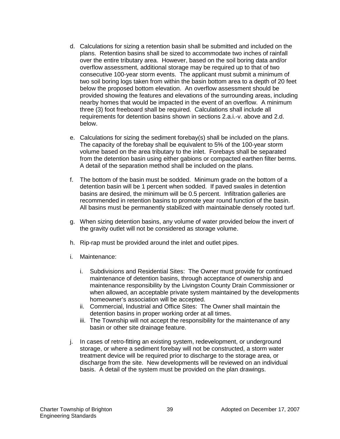- d. Calculations for sizing a retention basin shall be submitted and included on the plans. Retention basins shall be sized to accommodate two inches of rainfall over the entire tributary area. However, based on the soil boring data and/or overflow assessment, additional storage may be required up to that of two consecutive 100-year storm events. The applicant must submit a minimum of two soil boring logs taken from within the basin bottom area to a depth of 20 feet below the proposed bottom elevation. An overflow assessment should be provided showing the features and elevations of the surrounding areas, including nearby homes that would be impacted in the event of an overflow. A minimum three (3) foot freeboard shall be required. Calculations shall include all requirements for detention basins shown in sections 2.a.i.-v. above and 2.d. below.
- e. Calculations for sizing the sediment forebay(s) shall be included on the plans. The capacity of the forebay shall be equivalent to 5% of the 100-year storm volume based on the area tributary to the inlet. Forebays shall be separated from the detention basin using either gabions or compacted earthen filter berms. A detail of the separation method shall be included on the plans.
- f. The bottom of the basin must be sodded. Minimum grade on the bottom of a detention basin will be 1 percent when sodded. If paved swales in detention basins are desired, the minimum will be 0.5 percent. Infiltration galleries are recommended in retention basins to promote year round function of the basin. All basins must be permanently stabilized with maintainable densely rooted turf.
- g. When sizing detention basins, any volume of water provided below the invert of the gravity outlet will not be considered as storage volume.
- h. Rip-rap must be provided around the inlet and outlet pipes.
- i. Maintenance:
	- i. Subdivisions and Residential Sites: The Owner must provide for continued maintenance of detention basins, through acceptance of ownership and maintenance responsibility by the Livingston County Drain Commissioner or when allowed, an acceptable private system maintained by the developments homeowner's association will be accepted.
	- ii. Commercial, Industrial and Office Sites: The Owner shall maintain the detention basins in proper working order at all times.
	- iii. The Township will not accept the responsibility for the maintenance of any basin or other site drainage feature.
- j. In cases of retro-fitting an existing system, redevelopment, or underground storage, or where a sediment forebay will not be constructed, a storm water treatment device will be required prior to discharge to the storage area, or discharge from the site. New developments will be reviewed on an individual basis. A detail of the system must be provided on the plan drawings.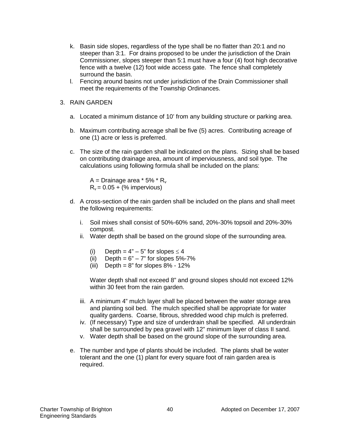- k. Basin side slopes, regardless of the type shall be no flatter than 20:1 and no steeper than 3:1. For drains proposed to be under the jurisdiction of the Drain Commissioner, slopes steeper than 5:1 must have a four (4) foot high decorative fence with a twelve (12) foot wide access gate. The fence shall completely surround the basin.
- l. Fencing around basins not under jurisdiction of the Drain Commissioner shall meet the requirements of the Township Ordinances.
- 3. RAIN GARDEN
	- a. Located a minimum distance of 10' from any building structure or parking area.
	- b. Maximum contributing acreage shall be five (5) acres. Contributing acreage of one (1) acre or less is preferred.
	- c. The size of the rain garden shall be indicated on the plans. Sizing shall be based on contributing drainage area, amount of imperviousness, and soil type. The calculations using following formula shall be included on the plans:

A = Drainage area  $*$  5%  $*$  R<sub>v</sub>  $R_v = 0.05 + (%$  impervious)

- d. A cross-section of the rain garden shall be included on the plans and shall meet the following requirements:
	- i. Soil mixes shall consist of 50%-60% sand, 20%-30% topsoil and 20%-30% compost.
	- ii. Water depth shall be based on the ground slope of the surrounding area.
		- (i) Depth =  $4" 5"$  for slopes  $\leq 4$
		- (ii) Depth =  $6" 7"$  for slopes  $5\% 7\%$
		- (iii) Depth =  $8"$  for slopes  $8\%$   $12\%$

Water depth shall not exceed 8" and ground slopes should not exceed 12% within 30 feet from the rain garden.

- iii. A minimum 4" mulch layer shall be placed between the water storage area and planting soil bed. The mulch specified shall be appropriate for water quality gardens. Coarse, fibrous, shredded wood chip mulch is preferred.
- iv. (If necessary) Type and size of underdrain shall be specified. All underdrain shall be surrounded by pea gravel with 12" minimum layer of class II sand.
- v. Water depth shall be based on the ground slope of the surrounding area.
- e. The number and type of plants should be included. The plants shall be water tolerant and the one (1) plant for every square foot of rain garden area is required.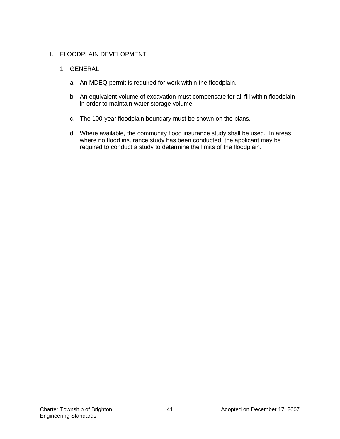### I. FLOODPLAIN DEVELOPMENT

### 1. GENERAL

- a. An MDEQ permit is required for work within the floodplain.
- b. An equivalent volume of excavation must compensate for all fill within floodplain in order to maintain water storage volume.
- c. The 100-year floodplain boundary must be shown on the plans.
- d. Where available, the community flood insurance study shall be used. In areas where no flood insurance study has been conducted, the applicant may be required to conduct a study to determine the limits of the floodplain.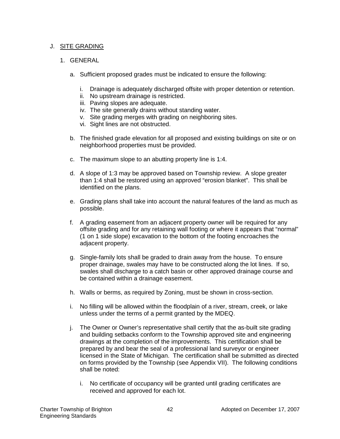#### J. SITE GRADING

#### 1. GENERAL

- a. Sufficient proposed grades must be indicated to ensure the following:
	- i. Drainage is adequately discharged offsite with proper detention or retention.
	- ii. No upstream drainage is restricted.
	- iii. Paving slopes are adequate.
	- iv. The site generally drains without standing water.
	- v. Site grading merges with grading on neighboring sites.
	- vi. Sight lines are not obstructed.
- b. The finished grade elevation for all proposed and existing buildings on site or on neighborhood properties must be provided.
- c. The maximum slope to an abutting property line is 1:4.
- d. A slope of 1:3 may be approved based on Township review. A slope greater than 1:4 shall be restored using an approved "erosion blanket". This shall be identified on the plans.
- e. Grading plans shall take into account the natural features of the land as much as possible.
- f. A grading easement from an adjacent property owner will be required for any offsite grading and for any retaining wall footing or where it appears that "normal" (1 on 1 side slope) excavation to the bottom of the footing encroaches the adjacent property.
- g. Single-family lots shall be graded to drain away from the house. To ensure proper drainage, swales may have to be constructed along the lot lines. If so, swales shall discharge to a catch basin or other approved drainage course and be contained within a drainage easement.
- h. Walls or berms, as required by Zoning, must be shown in cross-section.
- i. No filling will be allowed within the floodplain of a river, stream, creek, or lake unless under the terms of a permit granted by the MDEQ.
- j. The Owner or Owner's representative shall certify that the as-built site grading and building setbacks conform to the Township approved site and engineering drawings at the completion of the improvements. This certification shall be prepared by and bear the seal of a professional land surveyor or engineer licensed in the State of Michigan. The certification shall be submitted as directed on forms provided by the Township (see Appendix VII). The following conditions shall be noted:
	- i. No certificate of occupancy will be granted until grading certificates are received and approved for each lot.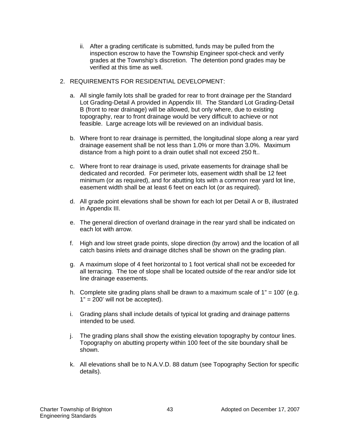- ii. After a grading certificate is submitted, funds may be pulled from the inspection escrow to have the Township Engineer spot-check and verify grades at the Township's discretion. The detention pond grades may be verified at this time as well.
- 2. REQUIREMENTS FOR RESIDENTIAL DEVELOPMENT:
	- a. All single family lots shall be graded for rear to front drainage per the Standard Lot Grading-Detail A provided in Appendix III. The Standard Lot Grading-Detail B (front to rear drainage) will be allowed, but only where, due to existing topography, rear to front drainage would be very difficult to achieve or not feasible. Large acreage lots will be reviewed on an individual basis.
	- b. Where front to rear drainage is permitted, the longitudinal slope along a rear yard drainage easement shall be not less than 1.0% or more than 3.0%. Maximum distance from a high point to a drain outlet shall not exceed 250 ft..
	- c. Where front to rear drainage is used, private easements for drainage shall be dedicated and recorded. For perimeter lots, easement width shall be 12 feet minimum (or as required), and for abutting lots with a common rear yard lot line, easement width shall be at least 6 feet on each lot (or as required).
	- d. All grade point elevations shall be shown for each lot per Detail A or B, illustrated in Appendix III.
	- e. The general direction of overland drainage in the rear yard shall be indicated on each lot with arrow.
	- f. High and low street grade points, slope direction (by arrow) and the location of all catch basins inlets and drainage ditches shall be shown on the grading plan.
	- g. A maximum slope of 4 feet horizontal to 1 foot vertical shall not be exceeded for all terracing. The toe of slope shall be located outside of the rear and/or side lot line drainage easements.
	- h. Complete site grading plans shall be drawn to a maximum scale of  $1" = 100'$  (e.g.  $1" = 200'$  will not be accepted).
	- i. Grading plans shall include details of typical lot grading and drainage patterns intended to be used.
	- j. The grading plans shall show the existing elevation topography by contour lines. Topography on abutting property within 100 feet of the site boundary shall be shown.
	- k. All elevations shall be to N.A.V.D. 88 datum (see Topography Section for specific details).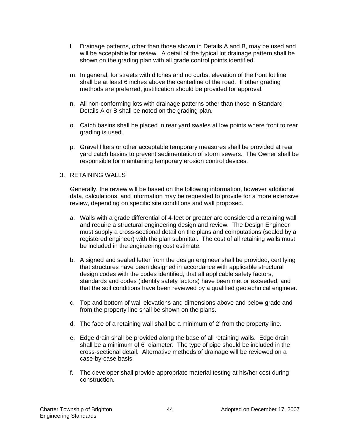- l. Drainage patterns, other than those shown in Details A and B, may be used and will be acceptable for review. A detail of the typical lot drainage pattern shall be shown on the grading plan with all grade control points identified.
- m. In general, for streets with ditches and no curbs, elevation of the front lot line shall be at least 6 inches above the centerline of the road. If other grading methods are preferred, justification should be provided for approval.
- n. All non-conforming lots with drainage patterns other than those in Standard Details A or B shall be noted on the grading plan.
- o. Catch basins shall be placed in rear yard swales at low points where front to rear grading is used.
- p. Gravel filters or other acceptable temporary measures shall be provided at rear yard catch basins to prevent sedimentation of storm sewers. The Owner shall be responsible for maintaining temporary erosion control devices.

#### 3. RETAINING WALLS

Generally, the review will be based on the following information, however additional data, calculations, and information may be requested to provide for a more extensive review, depending on specific site conditions and wall proposed.

- a. Walls with a grade differential of 4-feet or greater are considered a retaining wall and require a structural engineering design and review. The Design Engineer must supply a cross-sectional detail on the plans and computations (sealed by a registered engineer) with the plan submittal. The cost of all retaining walls must be included in the engineering cost estimate.
- b. A signed and sealed letter from the design engineer shall be provided, certifying that structures have been designed in accordance with applicable structural design codes with the codes identified; that all applicable safety factors, standards and codes (identify safety factors) have been met or exceeded; and that the soil conditions have been reviewed by a qualified geotechnical engineer.
- c. Top and bottom of wall elevations and dimensions above and below grade and from the property line shall be shown on the plans.
- d. The face of a retaining wall shall be a minimum of 2' from the property line.
- e. Edge drain shall be provided along the base of all retaining walls. Edge drain shall be a minimum of 6" diameter. The type of pipe should be included in the cross-sectional detail. Alternative methods of drainage will be reviewed on a case-by-case basis.
- f. The developer shall provide appropriate material testing at his/her cost during construction.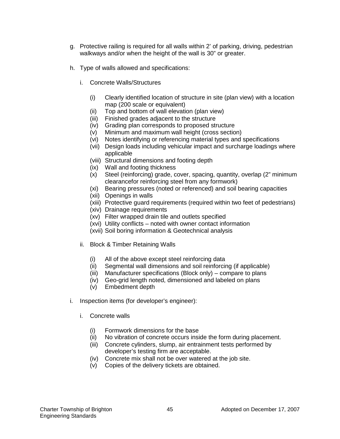- g. Protective railing is required for all walls within 2' of parking, driving, pedestrian walkways and/or when the height of the wall is 30" or greater.
- h. Type of walls allowed and specifications:
	- i. Concrete Walls/Structures
		- (i) Clearly identified location of structure in site (plan view) with a location map (200 scale or equivalent)
		- (ii) Top and bottom of wall elevation (plan view)
		- (iii) Finished grades adjacent to the structure
		- (iv) Grading plan corresponds to proposed structure
		- (v) Minimum and maximum wall height (cross section)
		- (vi) Notes identifying or referencing material types and specifications
		- (vii) Design loads including vehicular impact and surcharge loadings where applicable
		- (viii) Structural dimensions and footing depth
		- (ix) Wall and footing thickness
		- (x) Steel (reinforcing) grade, cover, spacing, quantity, overlap (2" minimum clearancefor reinforcing steel from any formwork)
		- (xi) Bearing pressures (noted or referenced) and soil bearing capacities
		- (xii) Openings in walls
		- (xiii) Protective guard requirements (required within two feet of pedestrians)
		- (xiv) Drainage requirements
		- (xv) Filter wrapped drain tile and outlets specified
		- (xvi) Utility conflicts noted with owner contact information
		- (xvii) Soil boring information & Geotechnical analysis
	- ii. Block & Timber Retaining Walls
		- (i) All of the above except steel reinforcing data
		- (ii) Segmental wall dimensions and soil reinforcing (if applicable)
		- (iii) Manufacturer specifications (Block only) compare to plans
		- (iv) Geo-grid length noted, dimensioned and labeled on plans
		- (v) Embedment depth
- i. Inspection items (for developer's engineer):
	- i. Concrete walls
		- (i) Formwork dimensions for the base
		- (ii) No vibration of concrete occurs inside the form during placement.
		- (iii) Concrete cylinders, slump, air entrainment tests performed by developer's testing firm are acceptable.
		- (iv) Concrete mix shall not be over watered at the job site.
		- (v) Copies of the delivery tickets are obtained.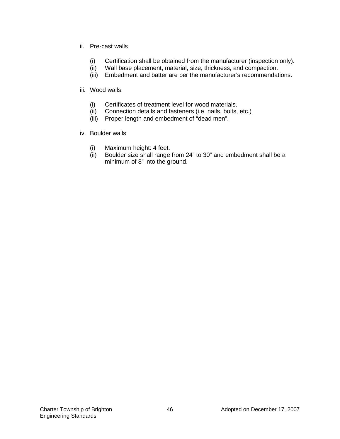- ii. Pre-cast walls
	- (i) Certification shall be obtained from the manufacturer (inspection only).
	- (ii) Wall base placement, material, size, thickness, and compaction.
	- (iii) Embedment and batter are per the manufacturer's recommendations.

#### iii. Wood walls

- (i) Certificates of treatment level for wood materials.
- (ii) Connection details and fasteners (i.e. nails, bolts, etc.)
- (iii) Proper length and embedment of "dead men".
- iv. Boulder walls
	-
	- (i) Maximum height: 4 feet. Boulder size shall range from 24" to 30" and embedment shall be a minimum of 8" into the ground.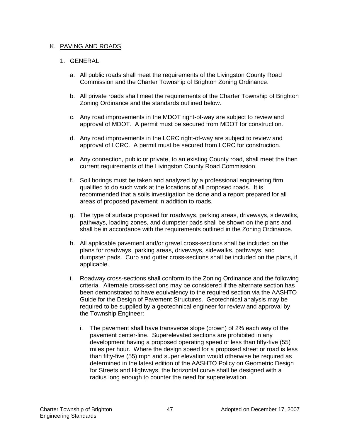#### K. PAVING AND ROADS

#### 1. GENERAL

- a. All public roads shall meet the requirements of the Livingston County Road Commission and the Charter Township of Brighton Zoning Ordinance.
- b. All private roads shall meet the requirements of the Charter Township of Brighton Zoning Ordinance and the standards outlined below.
- c. Any road improvements in the MDOT right-of-way are subject to review and approval of MDOT. A permit must be secured from MDOT for construction.
- d. Any road improvements in the LCRC right-of-way are subject to review and approval of LCRC. A permit must be secured from LCRC for construction.
- e. Any connection, public or private, to an existing County road, shall meet the then current requirements of the Livingston County Road Commission.
- f. Soil borings must be taken and analyzed by a professional engineering firm qualified to do such work at the locations of all proposed roads. It is recommended that a soils investigation be done and a report prepared for all areas of proposed pavement in addition to roads.
- g. The type of surface proposed for roadways, parking areas, driveways, sidewalks, pathways, loading zones, and dumpster pads shall be shown on the plans and shall be in accordance with the requirements outlined in the Zoning Ordinance.
- h. All applicable pavement and/or gravel cross-sections shall be included on the plans for roadways, parking areas, driveways, sidewalks, pathways, and dumpster pads. Curb and gutter cross-sections shall be included on the plans, if applicable.
- i. Roadway cross-sections shall conform to the Zoning Ordinance and the following criteria. Alternate cross-sections may be considered if the alternate section has been demonstrated to have equivalency to the required section via the AASHTO Guide for the Design of Pavement Structures. Geotechnical analysis may be required to be supplied by a geotechnical engineer for review and approval by the Township Engineer:
	- i. The pavement shall have transverse slope (crown) of 2% each way of the pavement center-line. Superelevated sections are prohibited in any development having a proposed operating speed of less than fifty-five (55) miles per hour. Where the design speed for a proposed street or road is less than fifty-five (55) mph and super elevation would otherwise be required as determined in the latest edition of the AASHTO Policy on Geometric Design for Streets and Highways, the horizontal curve shall be designed with a radius long enough to counter the need for superelevation.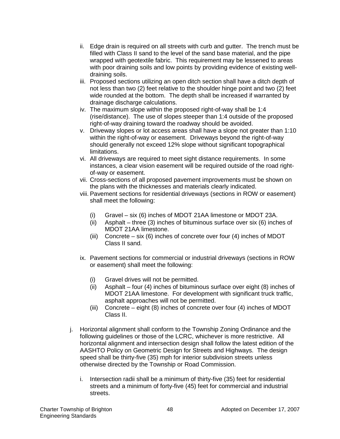- ii. Edge drain is required on all streets with curb and gutter. The trench must be filled with Class II sand to the level of the sand base material, and the pipe wrapped with geotextile fabric. This requirement may be lessened to areas with poor draining soils and low points by providing evidence of existing welldraining soils.
- iii. Proposed sections utilizing an open ditch section shall have a ditch depth of not less than two (2) feet relative to the shoulder hinge point and two (2) feet wide rounded at the bottom. The depth shall be increased if warranted by drainage discharge calculations.
- iv. The maximum slope within the proposed right-of-way shall be 1:4 (rise/distance). The use of slopes steeper than 1:4 outside of the proposed right-of-way draining toward the roadway should be avoided.
- v. Driveway slopes or lot access areas shall have a slope not greater than 1:10 within the right-of-way or easement. Driveways beyond the right-of-way should generally not exceed 12% slope without significant topographical limitations.
- vi. All driveways are required to meet sight distance requirements. In some instances, a clear vision easement will be required outside of the road rightof-way or easement.
- vii. Cross-sections of all proposed pavement improvements must be shown on the plans with the thicknesses and materials clearly indicated.
- viii. Pavement sections for residential driveways (sections in ROW or easement) shall meet the following:
	- (i) Gravel six (6) inches of MDOT 21AA limestone or MDOT 23A.
	- (ii) Asphalt three (3) inches of bituminous surface over six (6) inches of MDOT 21AA limestone.
	- (iii) Concrete six (6) inches of concrete over four (4) inches of MDOT Class II sand.
- ix. Pavement sections for commercial or industrial driveways (sections in ROW or easement) shall meet the following:
	- (i) Gravel drives will not be permitted.
	- (ii) Asphalt four (4) inches of bituminous surface over eight (8) inches of MDOT 21AA limestone. For development with significant truck traffic, asphalt approaches will not be permitted.
	- (iii) Concrete eight (8) inches of concrete over four (4) inches of MDOT Class II.
- j. Horizontal alignment shall conform to the Township Zoning Ordinance and the following guidelines or those of the LCRC, whichever is more restrictive. All horizontal alignment and intersection design shall follow the latest edition of the AASHTO Policy on Geometric Design for Streets and Highways. The design speed shall be thirty-five (35) mph for interior subdivision streets unless otherwise directed by the Township or Road Commission.
	- i. Intersection radii shall be a minimum of thirty-five (35) feet for residential streets and a minimum of forty-five (45) feet for commercial and industrial streets.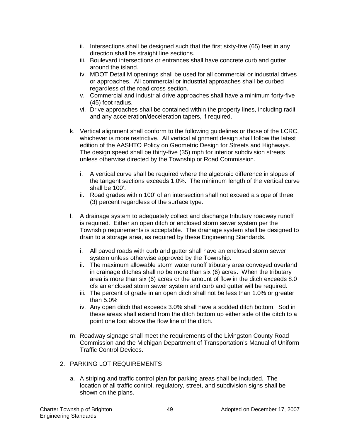- ii. Intersections shall be designed such that the first sixty-five (65) feet in any direction shall be straight line sections.
- iii. Boulevard intersections or entrances shall have concrete curb and gutter around the island.
- iv. MDOT Detail M openings shall be used for all commercial or industrial drives or approaches. All commercial or industrial approaches shall be curbed regardless of the road cross section.
- v. Commercial and industrial drive approaches shall have a minimum forty-five (45) foot radius.
- vi. Drive approaches shall be contained within the property lines, including radii and any acceleration/deceleration tapers, if required.
- k. Vertical alignment shall conform to the following guidelines or those of the LCRC, whichever is more restrictive. All vertical alignment design shall follow the latest edition of the AASHTO Policy on Geometric Design for Streets and Highways. The design speed shall be thirty-five (35) mph for interior subdivision streets unless otherwise directed by the Township or Road Commission.
	- i. A vertical curve shall be required where the algebraic difference in slopes of the tangent sections exceeds 1.0%. The minimum length of the vertical curve shall be 100'.
	- ii. Road grades within 100' of an intersection shall not exceed a slope of three (3) percent regardless of the surface type.
- l. A drainage system to adequately collect and discharge tributary roadway runoff is required. Either an open ditch or enclosed storm sewer system per the Township requirements is acceptable. The drainage system shall be designed to drain to a storage area, as required by these Engineering Standards.
	- i. All paved roads with curb and gutter shall have an enclosed storm sewer system unless otherwise approved by the Township.
	- ii. The maximum allowable storm water runoff tributary area conveyed overland in drainage ditches shall no be more than six (6) acres. When the tributary area is more than six (6) acres or the amount of flow in the ditch exceeds 8.0 cfs an enclosed storm sewer system and curb and gutter will be required.
	- iii. The percent of grade in an open ditch shall not be less than 1.0% or greater than 5.0%
	- iv. Any open ditch that exceeds 3.0% shall have a sodded ditch bottom. Sod in these areas shall extend from the ditch bottom up either side of the ditch to a point one foot above the flow line of the ditch.
- m. Roadway signage shall meet the requirements of the Livingston County Road Commission and the Michigan Department of Transportation's Manual of Uniform Traffic Control Devices.
- 2. PARKING LOT REQUIREMENTS
	- a. A striping and traffic control plan for parking areas shall be included. The location of all traffic control, regulatory, street, and subdivision signs shall be shown on the plans.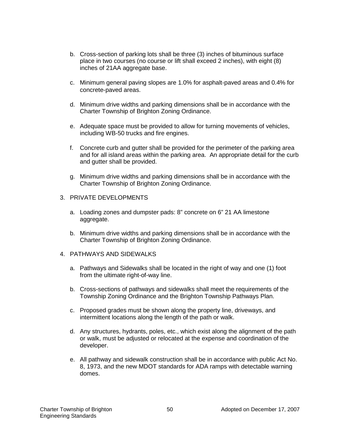- b. Cross-section of parking lots shall be three (3) inches of bituminous surface place in two courses (no course or lift shall exceed 2 inches), with eight (8) inches of 21AA aggregate base.
- c. Minimum general paving slopes are 1.0% for asphalt-paved areas and 0.4% for concrete-paved areas.
- d. Minimum drive widths and parking dimensions shall be in accordance with the Charter Township of Brighton Zoning Ordinance.
- e. Adequate space must be provided to allow for turning movements of vehicles, including WB-50 trucks and fire engines.
- f. Concrete curb and gutter shall be provided for the perimeter of the parking area and for all island areas within the parking area. An appropriate detail for the curb and gutter shall be provided.
- g. Minimum drive widths and parking dimensions shall be in accordance with the Charter Township of Brighton Zoning Ordinance.
- 3. PRIVATE DEVELOPMENTS
	- a. Loading zones and dumpster pads: 8" concrete on 6" 21 AA limestone aggregate.
	- b. Minimum drive widths and parking dimensions shall be in accordance with the Charter Township of Brighton Zoning Ordinance.
- 4. PATHWAYS AND SIDEWALKS
	- a. Pathways and Sidewalks shall be located in the right of way and one (1) foot from the ultimate right-of-way line.
	- b. Cross-sections of pathways and sidewalks shall meet the requirements of the Township Zoning Ordinance and the Brighton Township Pathways Plan.
	- c. Proposed grades must be shown along the property line, driveways, and intermittent locations along the length of the path or walk.
	- d. Any structures, hydrants, poles, etc., which exist along the alignment of the path or walk, must be adjusted or relocated at the expense and coordination of the developer.
	- e. All pathway and sidewalk construction shall be in accordance with public Act No. 8, 1973, and the new MDOT standards for ADA ramps with detectable warning domes.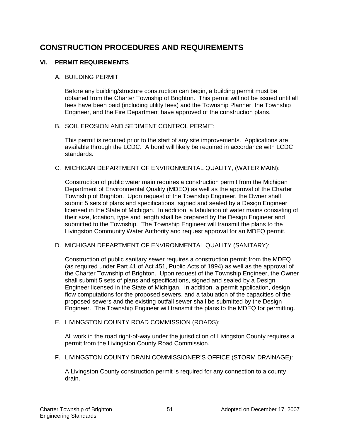## **CONSTRUCTION PROCEDURES AND REQUIREMENTS**

### **VI. PERMIT REQUIREMENTS**

#### A. BUILDING PERMIT

Before any building/structure construction can begin, a building permit must be obtained from the Charter Township of Brighton. This permit will not be issued until all fees have been paid (including utility fees) and the Township Planner, the Township Engineer, and the Fire Department have approved of the construction plans.

#### B. SOIL EROSION AND SEDIMENT CONTROL PERMIT:

This permit is required prior to the start of any site improvements. Applications are available through the LCDC. A bond will likely be required in accordance with LCDC standards.

#### C. MICHIGAN DEPARTMENT OF ENVIRONMENTAL QUALITY, (WATER MAIN):

Construction of public water main requires a construction permit from the Michigan Department of Environmental Quality (MDEQ) as well as the approval of the Charter Township of Brighton. Upon request of the Township Engineer, the Owner shall submit 5 sets of plans and specifications, signed and sealed by a Design Engineer licensed in the State of Michigan. In addition, a tabulation of water mains consisting of their size, location, type and length shall be prepared by the Design Engineer and submitted to the Township. The Township Engineer will transmit the plans to the Livingston Community Water Authority and request approval for an MDEQ permit.

#### D. MICHIGAN DEPARTMENT OF ENVIRONMENTAL QUALITY (SANITARY):

Construction of public sanitary sewer requires a construction permit from the MDEQ (as required under Part 41 of Act 451, Public Acts of 1994) as well as the approval of the Charter Township of Brighton. Upon request of the Township Engineer, the Owner shall submit 5 sets of plans and specifications, signed and sealed by a Design Engineer licensed in the State of Michigan. In addition, a permit application, design flow computations for the proposed sewers, and a tabulation of the capacities of the proposed sewers and the existing outfall sewer shall be submitted by the Design Engineer. The Township Engineer will transmit the plans to the MDEQ for permitting.

#### E. LIVINGSTON COUNTY ROAD COMMISSION (ROADS):

All work in the road right-of-way under the jurisdiction of Livingston County requires a permit from the Livingston County Road Commission.

F. LIVINGSTON COUNTY DRAIN COMMISSIONER'S OFFICE (STORM DRAINAGE):

A Livingston County construction permit is required for any connection to a county drain.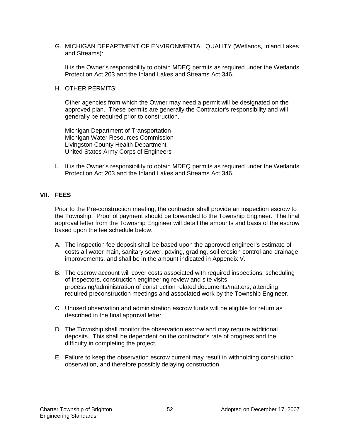G. MICHIGAN DEPARTMENT OF ENVIRONMENTAL QUALITY (Wetlands, Inland Lakes and Streams):

It is the Owner's responsibility to obtain MDEQ permits as required under the Wetlands Protection Act 203 and the Inland Lakes and Streams Act 346.

H. OTHER PERMITS:

Other agencies from which the Owner may need a permit will be designated on the approved plan. These permits are generally the Contractor's responsibility and will generally be required prior to construction.

Michigan Department of Transportation Michigan Water Resources Commission Livingston County Health Department United States Army Corps of Engineers

I. It is the Owner's responsibility to obtain MDEQ permits as required under the Wetlands Protection Act 203 and the Inland Lakes and Streams Act 346.

#### **VII. FEES**

Prior to the Pre-construction meeting, the contractor shall provide an inspection escrow to the Township. Proof of payment should be forwarded to the Township Engineer. The final approval letter from the Township Engineer will detail the amounts and basis of the escrow based upon the fee schedule below.

- A. The inspection fee deposit shall be based upon the approved engineer's estimate of costs all water main, sanitary sewer, paving, grading, soil erosion control and drainage improvements, and shall be in the amount indicated in Appendix V.
- B. The escrow account will cover costs associated with required inspections, scheduling of inspectors, construction engineering review and site visits, processing/administration of construction related documents/matters, attending required preconstruction meetings and associated work by the Township Engineer.
- C. Unused observation and administration escrow funds will be eligible for return as described in the final approval letter.
- D. The Township shall monitor the observation escrow and may require additional deposits. This shall be dependent on the contractor's rate of progress and the difficulty in completing the project.
- E. Failure to keep the observation escrow current may result in withholding construction observation, and therefore possibly delaying construction.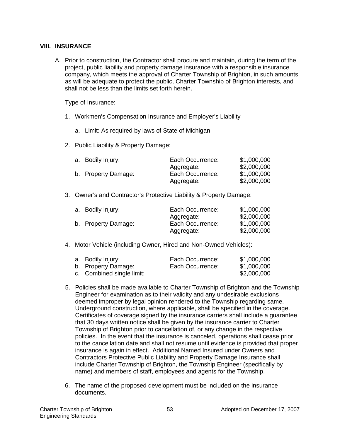#### **VIII. INSURANCE**

A. Prior to construction, the Contractor shall procure and maintain, during the term of the project, public liability and property damage insurance with a responsible insurance company, which meets the approval of Charter Township of Brighton, in such amounts as will be adequate to protect the public, Charter Township of Brighton interests, and shall not be less than the limits set forth herein.

Type of Insurance:

- 1. Workmen's Compensation Insurance and Employer's Liability
	- a. Limit: As required by laws of State of Michigan
- 2. Public Liability & Property Damage:

| a. Bodily Injury:   | Each Occurrence: | \$1,000,000 |
|---------------------|------------------|-------------|
|                     | Aggregate:       | \$2,000,000 |
| b. Property Damage: | Each Occurrence: | \$1,000,000 |
|                     | Aggregate:       | \$2,000,000 |

3. Owner's and Contractor's Protective Liability & Property Damage:

| a. Bodily Injury:   | Each Occurrence: | \$1,000,000 |
|---------------------|------------------|-------------|
|                     | Aggregate:       | \$2,000,000 |
| b. Property Damage: | Each Occurrence: | \$1,000,000 |
|                     | Aggregate:       | \$2,000,000 |

4. Motor Vehicle (including Owner, Hired and Non-Owned Vehicles):

| a. Bodily Injury:         | Each Occurrence: | \$1,000,000 |
|---------------------------|------------------|-------------|
| b. Property Damage:       | Each Occurrence: | \$1,000,000 |
| c. Combined single limit: |                  | \$2,000,000 |

- 5. Policies shall be made available to Charter Township of Brighton and the Township Engineer for examination as to their validity and any undesirable exclusions deemed improper by legal opinion rendered to the Township regarding same. Underground construction, where applicable, shall be specified in the coverage. Certificates of coverage signed by the insurance carriers shall include a guarantee that 30 days written notice shall be given by the insurance carrier to Charter Township of Brighton prior to cancellation of, or any change in the respective policies. In the event that the insurance is canceled, operations shall cease prior to the cancellation date and shall not resume until evidence is provided that proper insurance is again in effect. Additional Named Insured under Owners and Contractors Protective Public Liability and Property Damage Insurance shall include Charter Township of Brighton, the Township Engineer (specifically by name) and members of staff, employees and agents for the Township.
- 6. The name of the proposed development must be included on the insurance documents.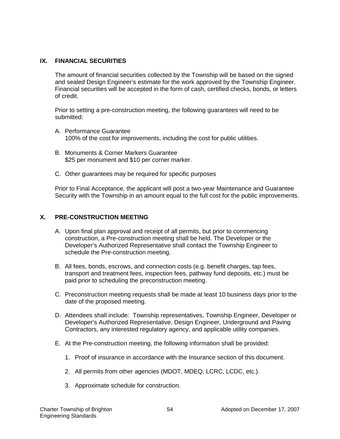#### **IX. FINANCIAL SECURITIES**

The amount of financial securities collected by the Township will be based on the signed and sealed Design Engineer's estimate for the work approved by the Township Engineer. Financial securities will be accepted in the form of cash, certified checks, bonds, or letters of credit.

Prior to setting a pre-construction meeting, the following guarantees will need to be submitted:

- A. Performance Guarantee 100% of the cost for improvements, including the cost for public utilities.
- B. Monuments & Corner Markers Guarantee \$25 per monument and \$10 per corner marker.
- C. Other guarantees may be required for specific purposes

Prior to Final Acceptance, the applicant will post a two-year Maintenance and Guarantee Security with the Township in an amount equal to the full cost for the public improvements.

### **X. PRE-CONSTRUCTION MEETING**

- A. Upon final plan approval and receipt of all permits, but prior to commencing construction, a Pre-construction meeting shall be held. The Developer or the Developer's Authorized Representative shall contact the Township Engineer to schedule the Pre-construction meeting.
- B. All fees, bonds, escrows, and connection costs (e.g. benefit charges, tap fees, transport and treatment fees, inspection fees, pathway fund deposits, etc.) must be paid prior to scheduling the preconstruction meeting.
- C. Preconstruction meeting requests shall be made at least 10 business days prior to the date of the proposed meeting.
- D. Attendees shall include: Township representatives, Township Engineer, Developer or Developer's Authorized Representative, Design Engineer, Underground and Paving Contractors, any interested regulatory agency, and applicable utility companies.
- E. At the Pre-construction meeting, the following information shall be provided:
	- 1. Proof of insurance in accordance with the Insurance section of this document.
	- 2. All permits from other agencies (MDOT, MDEQ, LCRC, LCDC, etc.).
	- 3. Approximate schedule for construction.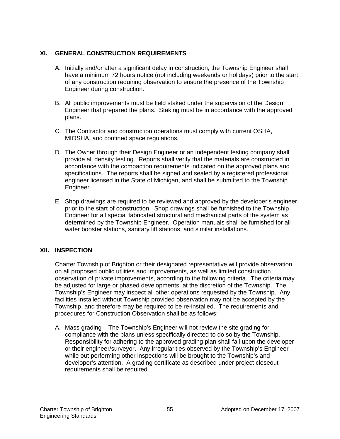### **XI. GENERAL CONSTRUCTION REQUIREMENTS**

- A. Initially and/or after a significant delay in construction, the Township Engineer shall have a minimum 72 hours notice (not including weekends or holidays) prior to the start of any construction requiring observation to ensure the presence of the Township Engineer during construction.
- B. All public improvements must be field staked under the supervision of the Design Engineer that prepared the plans. Staking must be in accordance with the approved plans.
- C. The Contractor and construction operations must comply with current OSHA, MIOSHA, and confined space regulations.
- D. The Owner through their Design Engineer or an independent testing company shall provide all density testing. Reports shall verify that the materials are constructed in accordance with the compaction requirements indicated on the approved plans and specifications. The reports shall be signed and sealed by a registered professional engineer licensed in the State of Michigan, and shall be submitted to the Township Engineer.
- E. Shop drawings are required to be reviewed and approved by the developer's engineer prior to the start of construction. Shop drawings shall be furnished to the Township Engineer for all special fabricated structural and mechanical parts of the system as determined by the Township Engineer. Operation manuals shall be furnished for all water booster stations, sanitary lift stations, and similar installations.

### **XII. INSPECTION**

Charter Township of Brighton or their designated representative will provide observation on all proposed public utilities and improvements, as well as limited construction observation of private improvements, according to the following criteria. The criteria may be adjusted for large or phased developments, at the discretion of the Township. The Township's Engineer may inspect all other operations requested by the Township. Any facilities installed without Township provided observation may not be accepted by the Township, and therefore may be required to be re-installed. The requirements and procedures for Construction Observation shall be as follows:

A. Mass grading – The Township's Engineer will not review the site grading for compliance with the plans unless specifically directed to do so by the Township. Responsibility for adhering to the approved grading plan shall fall upon the developer or their engineer/surveyor. Any irregularities observed by the Township's Engineer while out performing other inspections will be brought to the Township's and developer's attention. A grading certificate as described under project closeout requirements shall be required.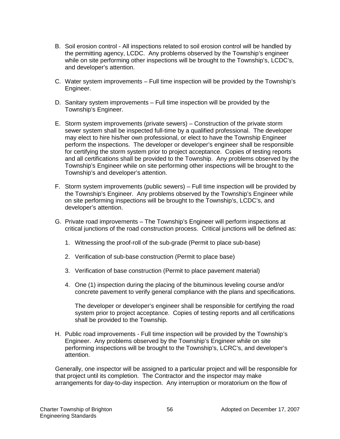- B. Soil erosion control All inspections related to soil erosion control will be handled by the permitting agency, LCDC. Any problems observed by the Township's engineer while on site performing other inspections will be brought to the Township's, LCDC's, and developer's attention.
- C. Water system improvements Full time inspection will be provided by the Township's Engineer.
- D. Sanitary system improvements Full time inspection will be provided by the Township's Engineer.
- E. Storm system improvements (private sewers) Construction of the private storm sewer system shall be inspected full-time by a qualified professional. The developer may elect to hire his/her own professional, or elect to have the Township Engineer perform the inspections. The developer or developer's engineer shall be responsible for certifying the storm system prior to project acceptance. Copies of testing reports and all certifications shall be provided to the Township. Any problems observed by the Township's Engineer while on site performing other inspections will be brought to the Township's and developer's attention.
- F. Storm system improvements (public sewers) Full time inspection will be provided by the Township's Engineer. Any problems observed by the Township's Engineer while on site performing inspections will be brought to the Township's, LCDC's, and developer's attention.
- G. Private road improvements The Township's Engineer will perform inspections at critical junctions of the road construction process. Critical junctions will be defined as:
	- 1. Witnessing the proof-roll of the sub-grade (Permit to place sub-base)
	- 2. Verification of sub-base construction (Permit to place base)
	- 3. Verification of base construction (Permit to place pavement material)
	- 4. One (1) inspection during the placing of the bituminous leveling course and/or concrete pavement to verify general compliance with the plans and specifications.

The developer or developer's engineer shall be responsible for certifying the road system prior to project acceptance. Copies of testing reports and all certifications shall be provided to the Township.

H. Public road improvements - Full time inspection will be provided by the Township's Engineer. Any problems observed by the Township's Engineer while on site performing inspections will be brought to the Township's, LCRC's, and developer's attention.

Generally, one inspector will be assigned to a particular project and will be responsible for that project until its completion. The Contractor and the inspector may make arrangements for day-to-day inspection. Any interruption or moratorium on the flow of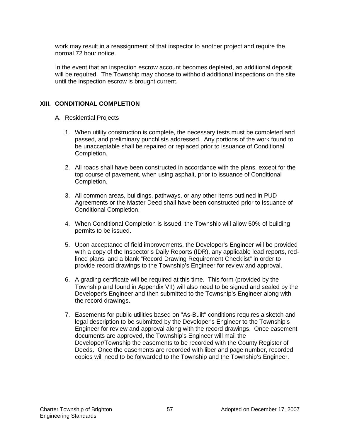work may result in a reassignment of that inspector to another project and require the normal 72 hour notice.

In the event that an inspection escrow account becomes depleted, an additional deposit will be required. The Township may choose to withhold additional inspections on the site until the inspection escrow is brought current.

#### **XIII. CONDITIONAL COMPLETION**

- A. Residential Projects
	- 1. When utility construction is complete, the necessary tests must be completed and passed, and preliminary punchlists addressed. Any portions of the work found to be unacceptable shall be repaired or replaced prior to issuance of Conditional Completion.
	- 2. All roads shall have been constructed in accordance with the plans, except for the top course of pavement, when using asphalt, prior to issuance of Conditional Completion.
	- 3. All common areas, buildings, pathways, or any other items outlined in PUD Agreements or the Master Deed shall have been constructed prior to issuance of Conditional Completion.
	- 4. When Conditional Completion is issued, the Township will allow 50% of building permits to be issued.
	- 5. Upon acceptance of field improvements, the Developer's Engineer will be provided with a copy of the Inspector's Daily Reports (IDR), any applicable lead reports, redlined plans, and a blank "Record Drawing Requirement Checklist" in order to provide record drawings to the Township's Engineer for review and approval.
	- 6. A grading certificate will be required at this time. This form (provided by the Township and found in Appendix VII) will also need to be signed and sealed by the Developer's Engineer and then submitted to the Township's Engineer along with the record drawings.
	- 7. Easements for public utilities based on "As-Built" conditions requires a sketch and legal description to be submitted by the Developer's Engineer to the Township's Engineer for review and approval along with the record drawings. Once easement documents are approved, the Township's Engineer will mail the Developer/Township the easements to be recorded with the County Register of Deeds. Once the easements are recorded with liber and page number, recorded copies will need to be forwarded to the Township and the Township's Engineer.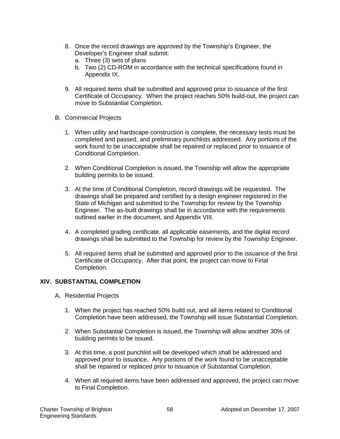- 8. Once the record drawings are approved by the Township's Engineer, the Developer's Engineer shall submit:
	- a. Three (3) sets of plans
	- b. Two (2) CD-ROM in accordance with the technical specifications found in Appendix IX.
- 9. All required items shall be submitted and approved prior to issuance of the first Certificate of Occupancy. When the project reaches 50% build-out, the project can move to Substantial Completion.
- B. Commercial Projects
	- 1. When utility and hardscape construction is complete, the necessary tests must be completed and passed, and preliminary punchlists addressed. Any portions of the work found to be unacceptable shall be repaired or replaced prior to issuance of Conditional Completion.
	- 2. When Conditional Completion is issued, the Township will allow the appropriate building permits to be issued.
	- 3. At the time of Conditional Completion, record drawings will be requested. The drawings shall be prepared and certified by a design engineer registered in the State of Michigan and submitted to the Township for review by the Township Engineer. The as-built drawings shall be in accordance with the requirements outlined earlier in the document, and Appendix VIII.
	- 4. A completed grading certificate, all applicable easements, and the digital record drawings shall be submitted to the Township for review by the Township Engineer.
	- 5. All required items shall be submitted and approved prior to the issuance of the first Certificate of Occupancy. After that point, the project can move to Final Completion.

#### **XIV. SUBSTANTIAL COMPLETION**

- A. Residential Projects
	- 1. When the project has reached 50% build out, and all items related to Conditional Completion have been addressed, the Township will issue Substantial Completion.
	- 2. When Substantial Completion is issued, the Township will allow another 30% of building permits to be issued.
	- 3. At this time, a post punchlist will be developed which shall be addressed and approved prior to issuance. Any portions of the work found to be unacceptable shall be repaired or replaced prior to issuance of Substantial Completion.
	- 4. When all required items have been addressed and approved, the project can move to Final Completion.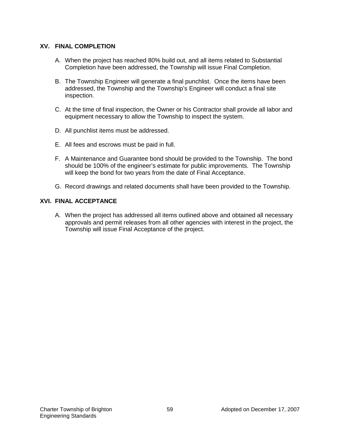#### **XV. FINAL COMPLETION**

- A. When the project has reached 80% build out, and all items related to Substantial Completion have been addressed, the Township will issue Final Completion.
- B. The Township Engineer will generate a final punchlist. Once the items have been addressed, the Township and the Township's Engineer will conduct a final site inspection.
- C. At the time of final inspection, the Owner or his Contractor shall provide all labor and equipment necessary to allow the Township to inspect the system.
- D. All punchlist items must be addressed.
- E. All fees and escrows must be paid in full.
- F. A Maintenance and Guarantee bond should be provided to the Township. The bond should be 100% of the engineer's estimate for public improvements. The Township will keep the bond for two years from the date of Final Acceptance.
- G. Record drawings and related documents shall have been provided to the Township.

#### **XVI. FINAL ACCEPTANCE**

A. When the project has addressed all items outlined above and obtained all necessary approvals and permit releases from all other agencies with interest in the project, the Township will issue Final Acceptance of the project.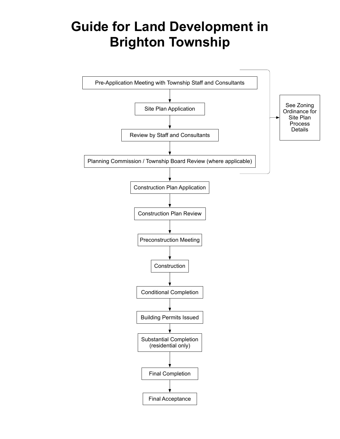# **Guide for Land Development in Brighton Township**

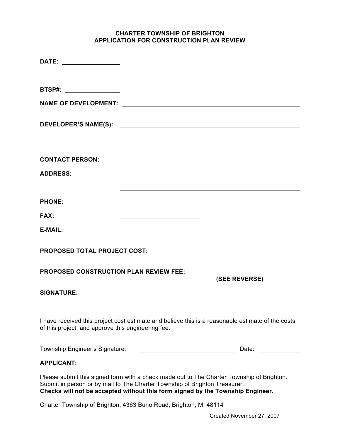#### **CHARTER TOWNSHIP OF BRIGHTON APPLICATION FOR CONSTRUCTION PLAN REVIEW**

| BTSP#: ________________                                                                                                                                      |                                                                                                                                                                                                                                |
|--------------------------------------------------------------------------------------------------------------------------------------------------------------|--------------------------------------------------------------------------------------------------------------------------------------------------------------------------------------------------------------------------------|
| <b>NAME OF DEVELOPMENT:</b>                                                                                                                                  |                                                                                                                                                                                                                                |
|                                                                                                                                                              |                                                                                                                                                                                                                                |
| <b>CONTACT PERSON:</b>                                                                                                                                       |                                                                                                                                                                                                                                |
| <b>ADDRESS:</b>                                                                                                                                              |                                                                                                                                                                                                                                |
| <b>PHONE:</b>                                                                                                                                                |                                                                                                                                                                                                                                |
| FAX:                                                                                                                                                         |                                                                                                                                                                                                                                |
| <b>E-MAIL:</b>                                                                                                                                               |                                                                                                                                                                                                                                |
| <b>PROPOSED TOTAL PROJECT COST:</b>                                                                                                                          |                                                                                                                                                                                                                                |
| <b>PROPOSED CONSTRUCTION PLAN REVIEW FEE:</b>                                                                                                                | (SEE REVERSE)                                                                                                                                                                                                                  |
| <b>SIGNATURE:</b>                                                                                                                                            |                                                                                                                                                                                                                                |
| of this project, and approve this engineering fee.                                                                                                           | I have received this project cost estimate and believe this is a reasonable estimate of the costs                                                                                                                              |
| Township Engineer's Signature:                                                                                                                               | Date: the contract of the contract of the contract of the contract of the contract of the contract of the contract of the contract of the contract of the contract of the contract of the contract of the contract of the cont |
| <b>APPLICANT:</b>                                                                                                                                            |                                                                                                                                                                                                                                |
| Submit in person or by mail to The Charter Township of Brighton Treasurer.<br>Checks will not be accepted without this form signed by the Township Engineer. | Please submit this signed form with a check made out to The Charter Township of Brighton.                                                                                                                                      |

Charter Township of Brighton, 4363 Buno Road, Brighton, MI 48114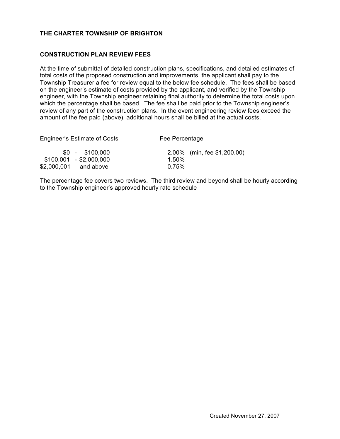#### **THE CHARTER TOWNSHIP OF BRIGHTON**

#### **CONSTRUCTION PLAN REVIEW FEES**

At the time of submittal of detailed construction plans, specifications, and detailed estimates of total costs of the proposed construction and improvements, the applicant shall pay to the Township Treasurer a fee for review equal to the below fee schedule. The fees shall be based on the engineer's estimate of costs provided by the applicant, and verified by the Township engineer, with the Township engineer retaining final authority to determine the total costs upon which the percentage shall be based. The fee shall be paid prior to the Township engineer's review of any part of the construction plans. In the event engineering review fees exceed the amount of the fee paid (above), additional hours shall be billed at the actual costs.

| Engineer's Estimate of Costs                                            | Fee Percentage                                   |  |
|-------------------------------------------------------------------------|--------------------------------------------------|--|
| $$0 - $100.000$<br>$$100,001$ - \$2,000,000<br>\$2,000,001<br>and above | 2.00% (min, fee \$1,200.00)<br>$1.50\%$<br>0.75% |  |
|                                                                         |                                                  |  |

The percentage fee covers two reviews. The third review and beyond shall be hourly according to the Township engineer's approved hourly rate schedule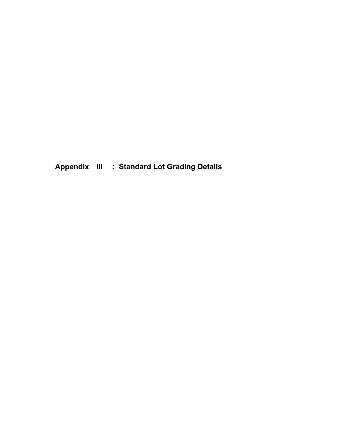**Appendix III : Standard Lot Grading Details**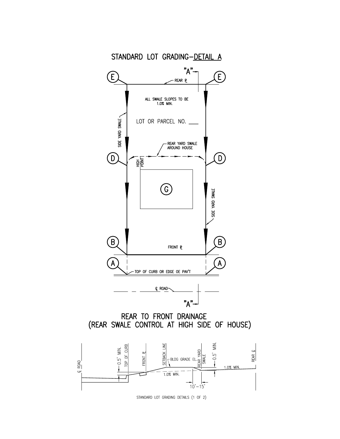

STANDARD LOT GRADING DETAILS (1 OF 2)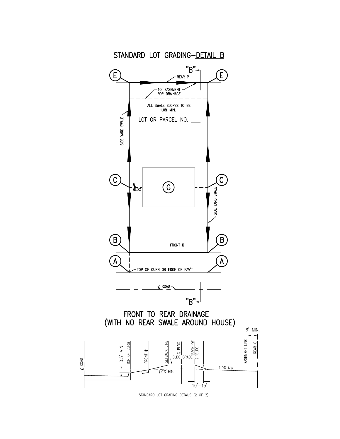

STANDARD LOT GRADING DETAILS (2 OF 2)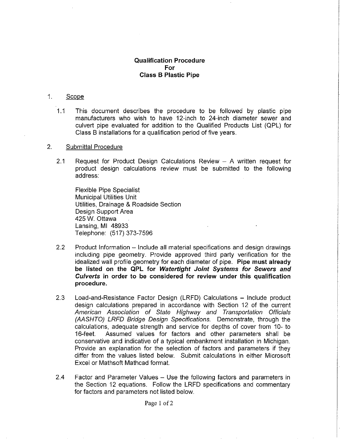#### **Qualification Procedure** For **Class B Plastic Pipe**

#### $1.$ Scope

 $1.1$ This document describes the procedure to be followed by plastic pipe manufacturers who wish to have 12-inch to 24-inch diameter sewer and culvert pipe evaluated for addition to the Qualified Products List (QPL) for Class B installations for a qualification period of five years.

#### $2.$ **Submittal Procedure**

 $2.1$ Request for Product Design Calculations Review  $-$  A written request for product design calculations review must be submitted to the following address:

**Flexible Pipe Specialist Municipal Utilities Unit** Utilities. Drainage & Roadside Section Design Support Area 425 W. Ottawa Lansing, MI 48933 Telephone: (517) 373-7596

- $2.2$ Product Information – Include all material specifications and design drawings including pipe geometry. Provide approved third party verification for the idealized wall profile geometry for each diameter of pipe. Pipe must already be listed on the QPL for Watertight Joint Systems for Sewers and Culverts in order to be considered for review under this qualification procedure.
- $2.3$ Load-and-Resistance Factor Design (LRFD) Calculations – Include product design calculations prepared in accordance with Section 12 of the current American Association of State Highway and Transportation Officials (AASHTO) LRFD Bridge Design Specifications. Demonstrate, through the calculations, adequate strength and service for depths of cover from 10- to Assumed values for factors and other parameters shall be  $16$ -feet. conservative and indicative of a typical embankment installation in Michigan. Provide an explanation for the selection of factors and parameters if they differ from the values listed below. Submit calculations in either Microsoft Excel or Mathsoft Mathcad format.
- $24$ Factor and Parameter Values - Use the following factors and parameters in the Section 12 equations. Follow the LRFD specifications and commentary for factors and parameters not listed below.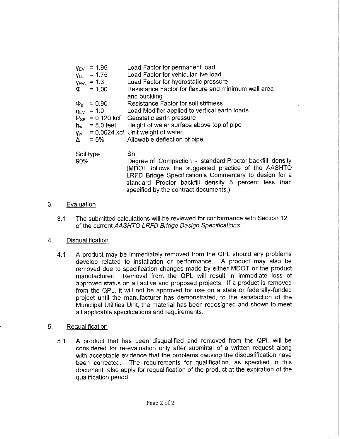| <b>YEV</b>     | $= 1.95$          | Load Factor for permanent load                      |
|----------------|-------------------|-----------------------------------------------------|
| <b>YLL</b>     | $= 1.75$          | Load Factor for vehicular live load                 |
|                | $y_{WA} = 1.3$    | Load Factor for hydrostatic pressure                |
|                | $\Phi = 1.00$     | Resistance Factor for flexure and minimum wall area |
|                |                   | and buckling                                        |
| $\Phi_{\rm s}$ | $= 0.90$          | <b>Resistance Factor for soil stiffness</b>         |
|                | $\eta_{EV}$ = 1.0 | Load Modifier applied to vertical earth loads       |
|                |                   | $P_{SP}$ = 0.120 kcf Geostatic earth pressure       |
|                | $h_w = 8.0$ feet  | Height of water surface above top of pipe           |
| Y <sub>w</sub> |                   | $= 0.0624$ kcf Unit weight of water                 |
| Δ              | $= 5\%$           | Allowable deflection of pipe                        |

Soil type 90%

Sn

Degree of Compaction - standard Proctor backfill density (MDOT follows the suggested practice of the AASHTO LRFD Bridge Specification's Commentary to design for a standard Proctor backfill density 5 percent less than specified by the contract documents.)

#### $3.$ Evaluation

The submitted calculations will be reviewed for conformance with Section 12  $3.1$ of the current AASHTO LRFD Bridge Design Specifications.

#### Disqualification  $\overline{4}$ .

 $4.1$ A product may be immediately removed from the QPL should any problems develop related to installation or performance. A product may also be removed due to specification changes made by either MDOT or the product Removal from the QPL will result in immediate loss of manufacturer. approved status on all active and proposed projects. If a product is removed from the QPL, it will not be approved for use on a state or federally-funded project until the manufacturer has demonstrated, to the satisfaction of the Municipal Utilities Unit, the material has been redesigned and shown to meet all applicable specifications and requirements.

#### 5. Requalification

A product that has been disqualified and removed from the QPL will be  $5.1$ considered for re-evaluation only after submittal of a written request along with acceptable evidence that the problems causing the disqualification have been corrected. The requirements for qualification, as specified in this document, also apply for requalification of the product at the expiration of the qualification period.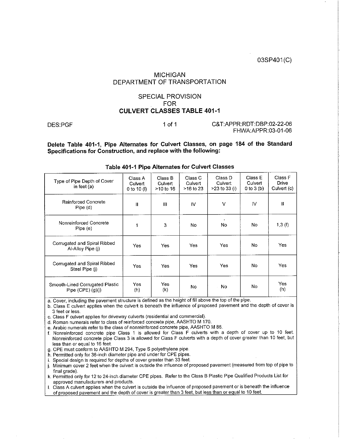03SP401(C)

#### **MICHIGAN** DEPARTMENT OF TRANSPORTATION

#### **SPECIAL PROVISION FOR CULVERT CLASSES TABLE 401-1**

DES:PGF

 $1$  of  $1$ 

C&T:APPR:RDT:DBP:02-22-06 FHWA:APPR:03-01-06

Delete Table 401-1. Pipe Alternates for Culvert Classes, on page 184 of the Standard Specifications for Construction, and replace with the following:

| Type of Pipe Depth of Cover<br>in feet $(a)$             | Class A<br>Culvert<br>0 to 10 (l) | Class B<br>Culvert<br>>10 to 16 | Class C<br>Culvert<br>>16 to 23 | Class D<br>Culvert<br>$>23$ to 33 (i) | Class E<br>Culvert<br>0 to 3(b) | Class F<br>Drive<br>Culvert (c) |
|----------------------------------------------------------|-----------------------------------|---------------------------------|---------------------------------|---------------------------------------|---------------------------------|---------------------------------|
| Reinforced Concrete<br>Pipe (d)                          | $\mathbf{II}$                     | $\mathbf{m}$                    | IV                              | v                                     | IV                              | Ш                               |
| Nonreinforced Concrete<br>Pipe (e)                       |                                   | 3                               | No                              | No                                    | No                              | 1,3(f)                          |
| Corrugated and Spiral Ribbed<br>Al-Alloy Pipe (j)        | Yes                               | Yes                             | Yes                             | Yes                                   | No.                             | Yes                             |
| Corrugated and Spiral Ribbed<br>Steel Pipe (i)           | Yes                               | Yes                             | Yes.                            | Yes                                   | No                              | Yes                             |
| Smooth-Lined Corrugated Plastic<br>Pipe $(CPE)$ $(q)(i)$ | Yes<br>(h)                        | Yes<br>(k)                      | No                              | No                                    | No                              | Yes<br>(h)                      |

#### Table 401-1 Pipe Alternates for Culvert Classes

a. Cover, including the pavement structure is defined as the height of fill above the top of the pipe.

b. Class E culvert applies when the culvert is beneath the influence of proposed pavement and the depth of cover is 3 feet or less.

c. Class F culvert applies for driveway culverts (residential and commercial).

d. Roman numerals refer to class of reinforced concrete pipe, AASHTO M 170.

e. Arabic numerals refer to the class of nonreinforced concrete pipe, AASHTO M 86.

f. Nonreinforced concrete pipe Class 1 is allowed for Class F culverts with a depth of cover up to 10 feet. Nonreinforced concrete pipe Class 3 is allowed for Class F culverts with a depth of cover greater than 10 feet, but less than or equal to 16 feet.

g. CPE must conform to AASHTO M 294, Type S polyethylene pipe.

h. Permitted only for 36-inch diameter pipe and under for CPE pipes.

i. Special design is required for depths of cover greater than 33 feet.

j. Minimum cover 2 feet when the culvert is outside the influence of proposed pavement (measured from top of pipe to final grade).

k. Permitted only for 12 to 24-inch diameter CPE pipes. Refer to the Class B Plastic Pipe Qualified Products List for approved manufacturers and products.

I. Class A culvert applies when the culvert is outside the influence of proposed pavement or is beneath the influence of proposed pavement and the depth of cover is greater than 3 feet, but less than or equal to 10 feet.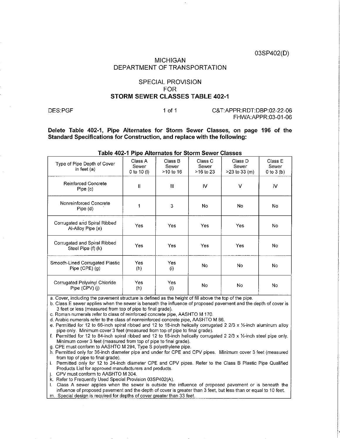03SP402(D)

#### **MICHIGAN** DEPARTMENT OF TRANSPORTATION

#### **SPECIAL PROVISION FOR** STORM SEWER CLASSES TABLE 402-1

DES:PGF

#### $1 of 1$

C&T:APPR:RDT:DBP:02-22-06 FHWA:APPR:03-01-06

Delete Table 402-1, Pipe Alternates for Storm Sewer Classes, on page 196 of the Standard Specifications for Construction, and replace with the following:

| Type of Pipe Depth of Cover<br>in feet $(a)$          | Class A<br>Sewer<br>0 to 10 $(1)$ | Class B<br>Sewer<br>>10 to 16 | Class C<br>Sewer<br>>16 to 23 | Class D<br>Sewer<br>$>23$ to 33 (m) | Class E<br>Sewer<br>0 to $3(b)$ |
|-------------------------------------------------------|-----------------------------------|-------------------------------|-------------------------------|-------------------------------------|---------------------------------|
| <b>Reinforced Concrete</b><br>Pipe (c)                | Ш                                 | Ш                             | IV                            | v                                   | <b>IV</b>                       |
| Nonreinforced Concrete<br>$Pipe$ (d)                  | 1                                 | 3                             | No.                           | No.                                 | No.                             |
| Corrugated and Spiral Ribbed<br>Al-Alloy Pipe (e)     | Yes                               | Yes                           | Yes                           | Yes.                                | No                              |
| Corrugated and Spiral Ribbed<br>Steel Pipe (f) (k)    | Yes                               | Yes                           | Yes                           | Yes                                 | No                              |
| Smooth-Lined Corrugated Plastic<br>Pipe $(CPE)$ $(g)$ | Yes.<br>(h)                       | Yes<br>$\langle i \rangle$    | No.                           | No.                                 | No                              |
| Corrugated Polyvinyl Chloride<br>Pipe (CPV) (i)       | Yes<br>(h)                        | Yes<br>(i)                    | No                            | No                                  | No                              |

#### Table 402-1 Pipe Alternates for Storm Sewer Classes

a. Cover, including the payement structure is defined as the height of fill above the top of the pipe.

b. Class E sewer applies when the sewer is beneath the influence of proposed pavement and the depth of cover is 3 feet or less (measured from top of pipe to final grade).

c. Roman numerals refer to class of reinforced concrete pipe, AASHTO M 170.

d. Arabic numerals refer to the class of nonreinforced concrete pipe. AASHTO M 86.

e. Permitted for 12 to 66-inch spiral ribbed and 12 to 18-inch helically corrugated 2 2/3 x  $\frac{1}{2}$ -inch aluminum alloy pipe only. Minimum cover 3 feet (measured from top of pipe to final grade).

f. Permitted for 12 to 84-inch spiral ribbed and 12 to 18-inch helically corrugated 2 2/3 x 1/2-inch steel pipe only. Minimum cover 3 feet (measured from top of pipe to final grade).

g. CPE must conform to AASHTO M 294, Type S polyethylene pipe.

h. Permitted only for 36-inch diameter pipe and under for CPE and CPV pipes. Minimum cover 3 feet (measured from top of pipe to final grade).

i. Permitted only for 12 to 24-inch diameter CPE and CPV pipes. Refer to the Class B Plastic Pipe Qualified Products List for approved manufacturers and products.

i. CPV must conform to AASHTO M 304.

k. Refer to Frequently Used Special Provision 03SP402(A).

I. Class A sewer applies when the sewer is outside the influence of proposed pavement or is beneath the influence of proposed pavement and the depth of cover is greater than 3 feet, but less than or equal to 10 feet. m. Special design is required for depths of cover greater than 33 feet.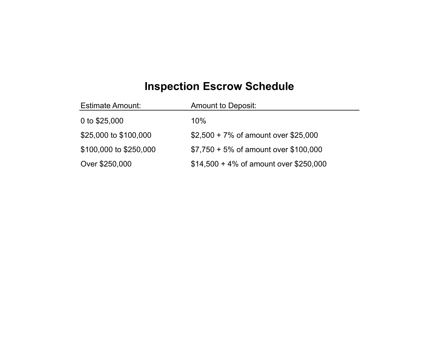## **Inspection Escrow Schedule**

| <b>Estimate Amount:</b> | <b>Amount to Deposit:</b>                |
|-------------------------|------------------------------------------|
| 0 to \$25,000           | 10%                                      |
| \$25,000 to \$100,000   | $$2,500 + 7\%$ of amount over \$25,000   |
| \$100,000 to \$250,000  | $$7,750 + 5\%$ of amount over \$100,000  |
| Over \$250,000          | $$14,500 + 4\%$ of amount over \$250,000 |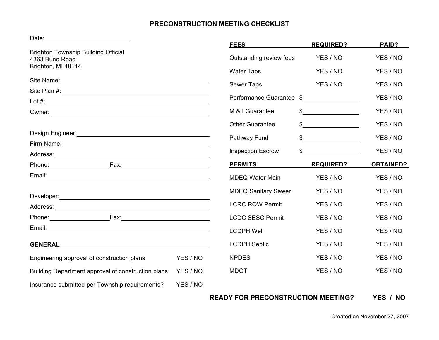# **PRECONSTRUCTION MEETING CHECKLIST**

Date:

| Daw.                                                                                                                                                                                                                                |          | <b>FEES</b>                | <b>REQUIRED?</b> | PAID?            |
|-------------------------------------------------------------------------------------------------------------------------------------------------------------------------------------------------------------------------------------|----------|----------------------------|------------------|------------------|
| <b>Brighton Township Building Official</b><br>4363 Buno Road<br>Brighton, MI 48114                                                                                                                                                  |          | Outstanding review fees    | YES / NO         | YES / NO         |
|                                                                                                                                                                                                                                     |          | <b>Water Taps</b>          | YES / NO         | YES / NO         |
|                                                                                                                                                                                                                                     |          | <b>Sewer Taps</b>          | YES / NO         | YES / NO         |
|                                                                                                                                                                                                                                     |          | Performance Guarantee \$   |                  | YES / NO         |
| Lot $#$ :                                                                                                                                                                                                                           |          | M & I Guarantee            | $\frac{1}{2}$    | YES / NO         |
|                                                                                                                                                                                                                                     |          | <b>Other Guarantee</b>     |                  | YES / NO         |
|                                                                                                                                                                                                                                     |          | Pathway Fund               | $\frac{1}{2}$    | YES / NO         |
| Firm Name: <u>Cambridge Communication</u>                                                                                                                                                                                           |          | <b>Inspection Escrow</b>   | $\mathbb{S}$     | YES / NO         |
|                                                                                                                                                                                                                                     |          |                            |                  |                  |
| Phone: and the state of the state of the state of the state of the state of the state of the state of the state of the state of the state of the state of the state of the state of the state of the state of the state of the      |          | <b>PERMITS</b>             | <b>REQUIRED?</b> | <b>OBTAINED?</b> |
|                                                                                                                                                                                                                                     |          | <b>MDEQ Water Main</b>     | YES / NO         | YES / NO         |
|                                                                                                                                                                                                                                     |          | <b>MDEQ Sanitary Sewer</b> | YES / NO         | YES / NO         |
| Address: <u>Address:</u> Address: Address: Address: Address: Address: Address: Address: Address: Address: Address: Address: Address: Address: Address: Address: Address: Address: Address: Address: Address: Address: Address: Addr |          | <b>LCRC ROW Permit</b>     | YES / NO         | YES / NO         |
| Phone: 2008                                                                                                                                                                                                                         |          | <b>LCDC SESC Permit</b>    | YES / NO         | YES / NO         |
|                                                                                                                                                                                                                                     |          | <b>LCDPH Well</b>          | YES / NO         | YES / NO         |
| <b>GENERAL</b><br><u> 1989 - Johann Stoff, deutscher Stoffen und der Stoffen und der Stoffen und der Stoffen und der Stoffen und der</u>                                                                                            |          | <b>LCDPH Septic</b>        | YES / NO         | YES / NO         |
| Engineering approval of construction plans                                                                                                                                                                                          | YES / NO | <b>NPDES</b>               | YES / NO         | YES / NO         |
| Building Department approval of construction plans                                                                                                                                                                                  | YES / NO | <b>MDOT</b>                | YES / NO         | YES / NO         |
| Insurance submitted per Township requirements?                                                                                                                                                                                      | YES / NO |                            |                  |                  |

**READY FOR PRECONSTRUCTION MEETING? YES / NO**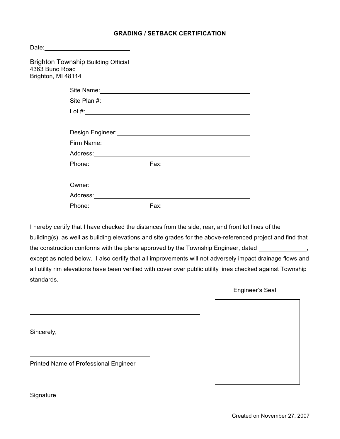## **GRADING / SETBACK CERTIFICATION**

| <b>Brighton Township Building Official</b><br>4363 Buno Road<br>Brighton, MI 48114 |                                                                                                                                                                                                                                      |  |
|------------------------------------------------------------------------------------|--------------------------------------------------------------------------------------------------------------------------------------------------------------------------------------------------------------------------------------|--|
|                                                                                    | Site Name:                                                                                                                                                                                                                           |  |
|                                                                                    |                                                                                                                                                                                                                                      |  |
|                                                                                    | Lot $#$ :                                                                                                                                                                                                                            |  |
|                                                                                    | Design Engineer: <u>Container and Container and Container and Container and Container and Container and Container</u>                                                                                                                |  |
|                                                                                    |                                                                                                                                                                                                                                      |  |
|                                                                                    |                                                                                                                                                                                                                                      |  |
|                                                                                    |                                                                                                                                                                                                                                      |  |
|                                                                                    |                                                                                                                                                                                                                                      |  |
|                                                                                    | Owner: <u>contract and contract and contract and contract and contract and contract and contract and contract and contract and contract and contract and contract and contract and contract and contract and contract and contra</u> |  |
|                                                                                    |                                                                                                                                                                                                                                      |  |
| Phone: National Assembly Phone:                                                    |                                                                                                                                                                                                                                      |  |

I hereby certify that I have checked the distances from the side, rear, and front lot lines of the building(s), as well as building elevations and site grades for the above-referenced project and find that the construction conforms with the plans approved by the Township Engineer, dated \_\_\_\_\_\_\_\_\_\_\_\_\_\_, except as noted below. I also certify that all improvements will not adversely impact drainage flows and all utility rim elevations have been verified with cover over public utility lines checked against Township standards.

|                                       | Engineer's Seal |  |
|---------------------------------------|-----------------|--|
|                                       |                 |  |
|                                       |                 |  |
| Sincerely,                            |                 |  |
|                                       |                 |  |
| Printed Name of Professional Engineer |                 |  |
|                                       |                 |  |

**Signature**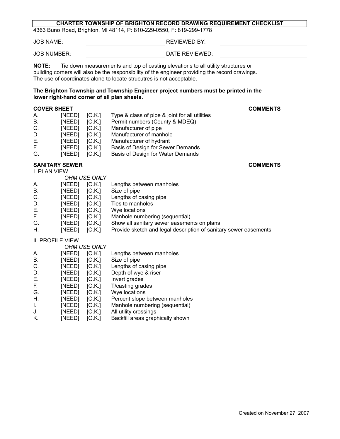#### **CHARTER TOWNSHIP OF BRIGHTON RECORD DRAWING REQUIREMENT CHECKLIST**

4363 Buno Road, Brighton, MI 48114, P: 810-229-0550, F: 819-299-1778

JOB NAME: REVIEWED BY:

JOB NUMBER: **DATE REVIEWED:** 

**NOTE:** Tie down measurements and top of casting elevations to all utility structures or building corners will also be the responsibility of the engineer providing the record drawings. The use of coordinates alone to locate strucutres is not acceptable.

#### **The Brighton Township and Township Engineer project numbers must be printed in the lower right-hand corner of all plan sheets.**

| <b>COVER SHEET</b><br><b>COMMENTS</b> |        |              |                                                                  |
|---------------------------------------|--------|--------------|------------------------------------------------------------------|
| $\overline{A}$ .                      | [NEED] | [O.K.]       | Type & class of pipe & joint for all utilities                   |
| В.                                    | [NEED] | [O.K.]       | Permit numbers (County & MDEQ)                                   |
| C.                                    | [NEED] | [O.K.]       | Manufacturer of pipe                                             |
| D.                                    | [NEED] | [O.K.]       | Manufacturer of manhole                                          |
| Е.                                    | [NEED] | [O.K.]       | Manufacturer of hydrant                                          |
| F.                                    | [NEED] | [O.K.]       | Basis of Design for Sewer Demands                                |
| G.                                    | [NEED] | [O.K.]       | Basis of Design for Water Demands                                |
| <b>SANITARY SEWER</b>                 |        |              | <b>COMMENTS</b>                                                  |
| <b>I. PLAN VIEW</b>                   |        |              |                                                                  |
|                                       |        | OHM USE ONLY |                                                                  |
| А.                                    | [NEED] | [O.K.]       | Lengths between manholes                                         |
| Β.                                    | [NEED] | [O.K.]       | Size of pipe                                                     |
| C.                                    | [NEED] | [O.K.]       | Lengths of casing pipe                                           |
| D.                                    | [NEED] | [O.K.]       | Ties to manholes                                                 |
| Е.                                    | [NEED] | [O.K.]       | Wye locations                                                    |
| F.                                    | [NEED] | [O.K.]       | Manhole numbering (sequential)                                   |
| G.                                    | [NEED] | [O.K.]       | Show all sanitary sewer easements on plans                       |
| Η.                                    | [NEED] | [O.K.]       | Provide sketch and legal description of sanitary sewer easements |
| <b>II. PROFILE VIEW</b>               |        |              |                                                                  |
|                                       |        | OHM USE ONLY |                                                                  |
| А.                                    | [NEED] | [O.K.]       | Lengths between manholes                                         |
| <b>B.</b>                             | [NEED] | [O.K.]       | Size of pipe                                                     |
| C.                                    | [NEED] | [O.K.]       | Lengths of casing pipe                                           |
| D.                                    | [NEED] | [O.K.]       | Depth of wye & riser                                             |
| Ε.                                    | [NEED] | [O.K.]       | Invert grades                                                    |
| F.                                    | [NEED] | [O.K.]       | T/casting grades                                                 |
| G.                                    | [NEED] | [O.K.]       | Wye locations                                                    |
| Η.                                    | [NEED] | [O.K.]       | Percent slope between manholes                                   |
| I.                                    | [NEED] | [O.K.]       | Manhole numbering (sequential)                                   |
| J.                                    | [NEED] | [O.K.]       | All utility crossings                                            |
| K.                                    | [NEED] | [O.K.]       | Backfill areas graphically shown                                 |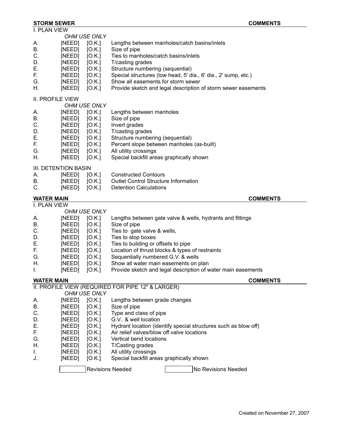# **STORM SEWER COMMENTS**

| I. PLAN VIEW         |        |              |                                                                 |
|----------------------|--------|--------------|-----------------------------------------------------------------|
|                      |        | OHM USE ONLY |                                                                 |
| Α.                   | [NEED] | [O.K.]       | Lengths between manholes/catch basins/inlets                    |
| В.                   | [NEED] | [O.K.]       | Size of pipe                                                    |
|                      |        |              |                                                                 |
| С.                   | [NEED] | [O.K.]       | Ties to manholes/catch basins/inlets                            |
| D.                   | [NEED] | [O.K.]       | T/casting grades                                                |
| Ε.                   | [NEED] | [O.K.]       | Structure numbering (sequential)                                |
| F.                   | [NEED] | [O.K.]       | Special structures (low head, 5' dia., 6' dia., 2' sump, etc.)  |
| G.                   | [NEED] | [O.K.]       | Show all easements for storm sewer                              |
| Η.                   | [NEED] | [O.K.]       | Provide sketch and legal description of storm sewer easements   |
|                      |        |              |                                                                 |
| II. PROFILE VIEW     |        |              |                                                                 |
|                      |        | OHM USE ONLY |                                                                 |
| Α.                   | [NEED] | [O.K.]       | Lengths between manholes                                        |
|                      |        |              |                                                                 |
| В.                   | [NEED] | [O.K.]       | Size of pipe                                                    |
| С.                   | [NEED] | [O.K.]       | Invert grades                                                   |
| D.                   | [NEED] | [O.K.]       | T/casting grades                                                |
| Е.                   | [NEED] | [O.K.]       | Structure numbering (sequential)                                |
| F.                   | [NEED] | [O.K.]       | Percent slope between manholes (as-built)                       |
| G.                   | [NEED] | [O.K.]       | All utility crossings                                           |
| Η.                   | [NEED] | [O.K.]       | Special backfill areas graphically shown                        |
|                      |        |              |                                                                 |
| III. DETENTION BASIN |        |              |                                                                 |
| А.                   | [NEED] | [O.K.]       | <b>Constructed Contours</b>                                     |
| В.                   | [NEED] |              | <b>Outlet Control Structure Information</b>                     |
|                      |        | [O.K.]       |                                                                 |
| C.                   | [NEED] | [O.K.]       | <b>Detention Calculations</b>                                   |
| <b>WATER MAIN</b>    |        |              | <b>COMMENTS</b>                                                 |
| I. PLAN VIEW         |        |              |                                                                 |
|                      |        | OHM USE ONLY |                                                                 |
|                      |        |              |                                                                 |
| А.                   | [NEED] | [O.K.]       | Lengths between gate valve & wells, hydrants and fittings       |
| В.                   | [NEED] | [O.K.]       | Size of pipe                                                    |
| C.                   | [NEED] | [O.K.]       | Ties to gate valve & wells,                                     |
| D.                   | [NEED] | [O.K.]       | Ties to stop boxes                                              |
| Ε.                   | [NEED] | [O.K.]       | Ties to building or offsets to pipe                             |
| F.                   | [NEED] | [O.K.]       | Location of thrust blocks & types of restraints                 |
| G.                   | [NEED] | [O.K.]       | Sequentially numbered G.V. & wells                              |
| Η.                   | [NEED] | [O.K.]       | Show all water main easements on plan                           |
| Τ.                   | [NEED] | [O.K.]       | Provide sketch and legal description of water main easements    |
|                      |        |              |                                                                 |
| <b>WATER MAIN</b>    |        |              | <b>COMMENTS</b>                                                 |
|                      |        |              | II. PROFILE VIEW (REQUIRED FOR PIPE 12" & LARGER)               |
|                      |        | OHM USE ONLY |                                                                 |
|                      | [NEED] | [O.K.]       | Lengths between grade changes                                   |
| А.                   |        |              |                                                                 |
| Β.                   | [NEED] | [O.K.]       | Size of pipe                                                    |
| C.                   | [NEED] | [O.K.]       | Type and class of pipe                                          |
| D.                   | [NEED] | [O.K.]       | G.V. & well location                                            |
| Е.                   | [NEED] | [O.K.]       | Hydrant location (identify special structures such as blow off) |
| F.                   | [NEED] | [O.K.]       | Air relief valves/blow off valve locations                      |
| G.                   | [NEED] | [O.K.]       | Vertical bend locations                                         |
| Η.                   | [NEED] | [O.K.]       | T/Casting grades                                                |
|                      |        |              |                                                                 |
| I.                   | [NEED] | [O.K.]       | All utility crossings                                           |
| J.                   | [NEED] | [O.K.]       | Special backfill areas graphically shown                        |
|                      |        |              | <b>Revisions Needed</b><br>No Revisions Needed                  |